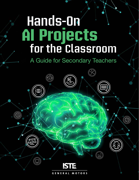# **for the Classroom AI Projects Hands-On**

## A Guide for Secondary Teachers

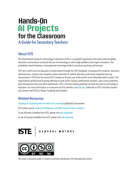## A Guide for Secondary Teachers **Hands-On for the Classroom AI Projects**

### About ISTE

The International Society for Technology in Education (ISTE) is a nonprofit organization that works with the global education community to accelerate the use of technology to solve tough problems and inspire innovation. Our worldwide network believes in the potential technology holds to transform teaching and learning.

ISTE sets a bold vision for education transformation through the ISTE Standards, a framework for students, educators, administrators, coaches and computer science educators to rethink education and create innovative learning environments. ISTE hosts the annual ISTE Conference & Expo, one of the world's most influential edtech events. The organization's professional learning offerings include online courses, professional networks, year-round academies, peer-reviewed journals and other publications. ISTE is also the leading publisher of books focused on technology in education. For more information or to become an ISTE member, visit [iste.org](http://iste.org). Subscribe to ISTE's YouTube channel and connect with ISTE on Twitter, Facebook and LinkedIn.

### Related Resources

*[Teaching AI: Exploring New Frontiers for Learning](https://id.iste.org/connected/resources/product?id=4209)* by Michelle Zimmerman

ISTE online course, *[Artificial Intelligence and Their Practical Use in Schools](https://www.iste.org/learn/iste-u/artificial-intelligence)*

To see all books available from ISTE, please visit *[iste.org/books](https://www.iste.org/learn/books)* 

To see all courses available from ISTE, please visit *[iste.org/isteu](https://www.iste.org/learn/iste-u)* 





This work is licensed under a [Creative Commons Attribution 4.0 International License](https://creativecommons.org/licenses/by-nc-sa/4.0/).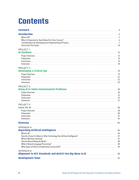## **Contents**

| <b>Foreword</b>                                                                                                                        |    |
|----------------------------------------------------------------------------------------------------------------------------------------|----|
|                                                                                                                                        |    |
| PROJECT 1                                                                                                                              |    |
| PROJECT <sub>2</sub>                                                                                                                   |    |
| <b>PROJECT 3</b>                                                                                                                       |    |
| PROJECT 4                                                                                                                              |    |
| APPENDIX A<br>Unpacking Artificial Intelligence <b>Manual According to the Article of According According According to the Accordi</b> | 45 |
| <b>APPENDIX B</b><br>Alignment to ISTE Standards and AI4K12 Five Big Ideas in AI <b>Constitution Constitution</b> 50                   |    |
|                                                                                                                                        |    |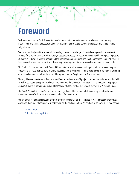## <span id="page-3-0"></span>**Foreword**

Welcome to the *Hands-On AI Projects for the Classroom* series, a set of guides for teachers who are seeking instructional and curricular resources about artificial intelligence (AI) for various grade levels and across a range of subject areas.

We know that the jobs of the future will increasingly demand knowledge of how to leverage and collaborate with AI as a tool for problem-solving. Unfortunately, most students today are not on a trajectory to fill those jobs. To prepare students, all educators need to understand the implications, applications, and creation methods behind AI. After all, teachers are the most important link in developing the new generation of AI-savvy learners, workers, and leaders.

That's why ISTE has partnered with General Motors (GM) to lead the way regarding AI in education. Over the past three years, we have teamed up with GM to create scalable professional learning experiences to help educators bring AI to their classrooms in relevant ways, and to support students' exploration of AI-related careers.

These guides are an extension of our work and feature student-driven AI projects curated from educators in the field, as well as strategies to support teachers in implementing the projects in a variety of K–12 classrooms. The projects engage students in both unplugged and technology-infused activities that explore key facets of AI technologies.

The *Hands-On AI Projects for the Classroom* series is just one of the resources ISTE is creating to help educators implement powerful AI projects to prepare students for their futures.

We are convinced that the language of future problem-solving will be the language of AI, and that educators must accelerate their understanding of AI in order to guide the next generation. We are here to help you make that happen!

Joseph South ISTE Chief Learning Officer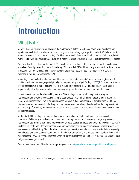## <span id="page-4-0"></span>**Introduction**

### What Is AI?

AI pervades learning, working, and living in the modern world. In fact, AI technologies are being developed and applied across all fields of study—from science and government to language acquisition and art. We believe that, in order to be successful in school and in life, *all* K–12 students need a foundational understanding of what AI is, how it works, and how it impacts society. AI education is important across *all* subject areas, not just computer science classes.

Yet, even if we believe that, most of us as K–12 educators and education leaders have not had much education in AI ourselves. You might even find yourself wondering: What exactly is AI? And if you are, you are not alone. In fact, even professionals in the field of AI do not always agree on the answer. Nevertheless, it is important to know what we mean in this guide when we refer to AI.

According to John McCarthy, who first coined the term, artificial intelligence is "the science and engineering of making intelligent machines, especially intelligent computer programs" (McCarthy, J., 2007)<sup>1</sup>. A technology powered by AI is capable of such things as using sensors to meaningfully perceive the world around it, of analyzing and organizing the data it perceives, and of autonomously using that data to make predictions and decisions.

In fact, the autonomous decision-making nature of AI technologies is part of what helps us to distinguish technologies that are and are not AI. For example, autonomous decision-making separates the non-AI automatic doors at your grocery store—which do use sensors to perceive, but open in response to simple if-then conditional statements—from AI-powered, self-driving cars that use sensors to perceive and analyze visual data, represent that data as a map of the world, and make time-sensitive, life-and-death decisions about which direction to move in next, and at what speed.

At their best, AI technologies accomplish tasks that are difficult or impossible for humans to accomplish by themselves. While early AI made decisions based on a preprogrammed set of data and actions, many newer AI technologies use machine learning to improve based on novel data as it is presented. When trained well, AI software is able to efficiently and effectively process, recognize patterns in, and extrapolate conclusions from large data sets across various fields of study. Similarly, robots powered by AI have the potential to complete tasks that are physically complicated, demanding, or even dangerous for their human counterparts. The projects in this guide and in the other volumes of the *Hands-On AI Projects for the Classroom* series reveal these capabilities to K–12 students across various subject areas and grade levels.

You can learn more about AI and access supporting resources in [Appendix A: Unpacking Artificial Intelligence](#page-45-0).

<sup>1</sup> McCarthy, J. (2007). What is artificial intelligence? Retrieved from [jmc.stanford.edu/articles/whatisai/whatisai.pdf](http://jmc.stanford.edu/articles/whatisai/whatisai.pdf)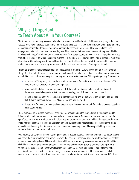### <span id="page-5-0"></span>Why Is It Important to Teach About AI in Your Courses?

Think about articles you may have read related to the use of AI in K–12 education. Odds are the majority of them are focused on two general areas: automating administrative tasks, such as taking attendance and grading assignments, or increasing student performance through AI-supported assessment, personalized learning, and increasing engagement in typically mundane rote learning. Yes, AI can be used in these ways. However, strategies of this kind barely scratch the surface when it comes to AI's potential for impacting students' lives—not only in the classroom but throughout their daily activities. The driving purpose of this guide is to look beyond the kinds of strategies mentioned above to consider not only how AI makes life easier at a superficial level, but also what students need to know and understand about AI to ensure they become thoughtful users and even creators of these powerful tools.

This guide is for educators who teach core academic subjects in grades 6–12. Why devote a guide to these areas of study? Once the stuff of science fiction, AI now permeates nearly every facet of our lives, and while most of us are aware of tools like virtual assistants or navigators, we may not be cognizant of ways that AI is impacting society. For example:

- As the field of AI expands, it is critical that students are aware of the ethical and societal implications of AI systems and how they are designed and regulated.
- AI-supported tools that are used to create and distribute information—both factual information and disinformation—challenge students to become increasingly sophisticated consumers of media.
- The use of chatbots and virtual assistants to support learning and productivity across content areas requires that students understand what these AI agents are and how they work.
- The use of AI for solving problems related to science and the environment calls for students to investigate how this is accomplished.

These examples point out the importance of all students understanding the degree to which AI is being used to influence what and how we learn, consume media, and solve problems. Awareness at this level does not require specific technical expertise. Educators with little or no prior experience with AI may still help their students become more informed about AI technologies. Educators can help by identifying instances of AI use, exploring the ethics of machines influencing decisions we make, and understanding enough about AI concepts that they can remind students that AI is a tool created by humans.

Until recently, conventional wisdom has suggested that instruction about AI should be confined to computer science courses at the high school level and above. However, the use of AI is becoming so pervasive throughout society that a basic understanding of what AI is and what its capabilities are is becoming as necessary as more traditional literacy skills like reading, writing, and computation. The Department of Homeland Security is strongly urging airports to implement facial recognition software to screen passengers. AI tools are being used to generate information in various formats—text, video, audio, and images. How can the consumer decide if this information is reliable versus meant to mislead? Virtual assistants and chatbots are becoming so realistic that it is sometimes difficult to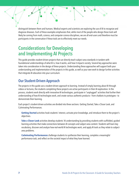<span id="page-6-0"></span>distinguish between them and humans. Medical experts and scientists are exploring the use of AI to recognize and diagnose diseases. Each of these examples emphasizes that, while most of the people who design these tools will likely be coming from math, science, and computer science disciplines, we are all end-users and therefore must be participants in the conversation if these tools are to effectively meet our needs.

### Considerations for Developing and Implementing AI Projects

This guide provides student-driven projects that can directly teach subject area standards in tandem with foundational understandings of what AI is, how it works, and how it impacts society. Several key approaches were taken into consideration in the design of these projects. Understanding these approaches will support both your understanding and implementation of the projects in this guide, as well as your own work to design further activities that integrate AI education into your curriculum.

### Our Student-Driven Approach

The projects in this guide use a student-driven approach to learning. Instead of simply learning *about* AI through videos or lectures, the students completing these projects are active participants in their AI exploration. In the process, students work directly with innovative AI technologies, participate in "unplugged" activities that further their understanding of how AI technologies work, and create various authentic products— from chatbots to prototypes— to demonstrate their learning.

Each project's student-driven activities are divided into three sections: Getting Started, Take a Closer Look, and Culminating Performances.

**Getting Started** activities hook students' interest, activate prior knowledge, and introduce them to the project's objectives.

**Take a Closer Look** activities develop students' AI understanding by providing students with scaffolded, guided learning activities that make connections between AI concepts and subject-area content. Students will learn key vocabulary, discover and analyze how real-world AI technologies work, and apply AI tools as they relate to subjectarea problems.

**Culminating Performances** challenge students to synthesize their learning, complete a meaningful performance task, and reflect on the societal impact of what they have learned.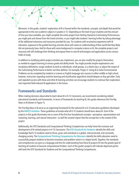Moreover, in this guide, students' exploration of AI is framed within the standards, concepts, and depth that would be appropriate to the core academic subjects in grades 6–12. Depending on the level of your students and the amount of time you have available, you might complete the entire project from Getting Started to Culminating Performances, you might pick and choose from the listed activities, or you might take students' learning further by taking advantage of the additional extensions and resources provided for you. For students with no previous experience with AI education, exposure to the guided learning activities alone will create an understanding of their world that they likely did not previously have. And for those with some background in computer science or AI, the complete projects and resources will still challenge their thinking and expose them to new AI technologies and applications across various fields of study.

In addition to modifying which project activities you implement, you can also modify the projects themselves as needed to support learning at various grade and ability levels. You might provide simpler explanations and vocabulary definitions; assign students to work as individuals, small groups, or a whole class; or adjust the output of the Culminating Performance to better suit their abilities. For example, Project 3: Using AI to Solve Environmental Problems can be completed by students in science or English language arts courses in either middle or high school; however, instruction regarding machine learning and classification algorithms should deepen as they get older. Early and repeated success with these and other AI learning activities can encourage students to continue their exploration into important field-relevant AI applications in the future.

#### Frameworks and Standards

When making decisions about what to teach about AI in K–12 classrooms, we recommend considering related educational standards and frameworks. In terms of frameworks for teaching AI, this guide references the Five Big Ideas in AI (shown in Figure 1).

The Five Big Ideas in AI serve as an organizing framework for the national AI in K–12 education guidelines developed by the [AI4K12 Initiative](www.ai4k12.org). These guidelines articulate what all K-12 students should learn about AI. Each of the projects in this guide illuminates one or more of the first four foundational concepts—perception, representation and reasoning, learning, and natural interaction—as well the societal impact that the concept has in the context of the project.

Additionally, the ISTE Standards and Computational Thinking Competencies can help frame the inclusion and development of AI-related projects in K–12 classrooms. The [ISTE Standards for Students](https://www.iste.org/standards/for-students) identify the skills and knowledge that K–12 students need to thrive, grow, and contribute in a global, interconnected, and constantly changing society. The [Computational Thinking Competencies for Educators](www.iste.org/standards/computational-thinking) identify the skills educators need to successfully prepare students to become innovators and problem-solvers in a digital world. Together, the standards and competencies can give us a language and lens for understanding how these AI projects fit into the greater goal of teaching all students to become computational thinkers. Each of this guide's projects will indicate alignment points with both the ISTE Standards for Students and the Computational Thinking Competencies.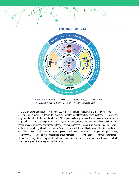#### **THE FIVE BIG IDEAS IN AI**





Finally, another way to think about technology use in these student-driven projects is with the SAMR model developed by Dr. Ruben Puentedura. This model classifies the use of technology into four categories: Substitution, Augmentation, Modification, and Redefinition. While uses of technology at the substitution and augmentation level might enhance learning or the performing of tasks, uses at the modification and redefinition level transform the learning experience or task into something that was previously inconceivable, difficult, or even impossible. Many of the activities in this guide will push students' use of technology to the modification and redefinition levels. And while other activities might have students engage with AI technologies conceptually through unplugged activities, or work with AI technologies at the substitution or augmentation level of SAMR, each of the new understandings students walk away with will empower them to understand, use, and possibly even create AI technologies that will fundamentally redefine the way humans live and work.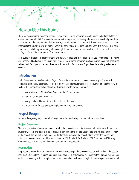### <span id="page-9-0"></span>How to Use This Guide

There are many courses, workshops, seminars, and other learning opportunities both online and offline that focus on the fundamentals of AI. There are also resources that target very tech-savvy educators who have backgrounds in AI concepts and the programming skills necessary to teach students how to code AI-based projects. However, when it comes to the educators who are themselves in the early stages of learning about AI, very little is available to help them transfer what they are learning into meaningful, student-driven classroom activities. That's where the *Hands-On AI Projects* f*or the Classroom* series of guides comes in.

Each guide in this series offers information and activity suggestions that educators can use—regardless of their own experience and background—to ensure their students are afforded opportunities to engage in meaningful activities related to AI. Each guide consists of three parts: Introduction, Projects, and Appendices. Let's briefly review each section.

#### Introduction

Each of the guides in the *Hands-On AI Projects for the Classroom* series is directed toward a specific group of educators: elementary, secondary, teachers of electives, and computer science teachers. In addition to this How To section, the introductory section of each guide includes the following information:

- An overview of the *Hands-On AI Projects for the Classroom* series
- A discussion entitled "What Is AI?"
- An explanation of how AI fits into the context for that guide
- Considerations for designing and implementing AI-related projects

### Project Design

For ease of use, every project in each of the guides is designed using a consistent format, as follows.

#### **Project Overview**

The project overview offers an explanation of what the project is, how it ties to research-based standards, and what students will learn and be able to do as a result of completing the project. Specific sections include a brief overview of the project; the subject, target grades, and estimated duration of the project; objectives for the project; and a listing of relevant standards addressed, such as the ISTE Standards for Students, ISTE Computational Thinking Competencies, AI4K12 Five Big Ideas in AI, and content-area standards.

#### **Preparation**

Preparation provides the information educators need in order to put the project into action with students. This section includes a list of materials required for project completion; a list of supporting resources for the educator, if applicable; and a list of planning tasks to complete prior to implementation, such as selecting tools, reviewing online resources, etc.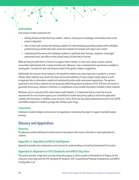#### **Instructions**

Each project includes instructions for:

- Getting Started activities that hook students' interest, activate prior knowledge, and introduce them to the project's objectives.
- Take a Closer Look activities that develop students' AI understanding by providing students with scaffolded, guided learning activities that make connections between AI concepts and subject area content.
- Culminating Performances that challenge students to synthesize their learning, complete a meaningful performance task, and reflect on the societal impact of what they've learned.

While we have provided links to resources to support these activities, in most cases, these activities could be successfully implemented with a variety of similar tools. Moreover, new or improved tools may become available in coming years. Consider the tools and resources listed in the guides simply as suggestions.

Additionally, the inclusion of any material is not intended to endorse any views expressed, or products or services offered. These materials may contain the views and recommendations of various subject-matter experts as well as hypertext links to information created and maintained by other public and private organizations. The opinions expressed in any of these materials do not necessarily reflect the positions or policies of ISTE. ISTE does not control or guarantee the accuracy, relevance, timeliness, or completeness of any outside information included in these materials.

Moreover, prior to using any of the cited resources with students, it is imperative that you check the account requirements for each resource against your school/district student data privacy policy to ensure the application complies with that policy. In addition, some resources' Terms of Service may require parental permission to be COPPA and FERPA compliant for students younger than thirteen years of age.

#### **Extensions**

Extensions include strategies and resources for expanding or enhancing the project to support extended student learning.

### Glossary and Appendices

#### **Glossary**

The glossary includes definitions for terms found in the projects that may be unfamiliar or need explanation for students.

#### **Appendix A: Unpacking Artificial Intelligence**

Appendix A provides basic explanations and resources for understanding and teaching fundamental AI concepts.

#### **Appendix B: Alignment to ISTE Standards and AI4K12 Big Ideas**

This section provides a high-level overview of how the projects in all four guides in the *Hands-On AI Projects for the Classroom* series align with the ISTE Standards for Students, ISTE Computational Thinking Competencies, and AI4K12 Five Big Ideas in AI.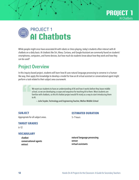

<span id="page-11-0"></span>

While people might once have associated AI with robots or chess playing, today's students often interact with AI chatbots on a daily basis. AI chatbots like Siri, Alexa, Cortana, and Google Assistant are commonly found on students' smartphones, computers, and home devices, but how much do students know about how they work and how they can be used?

### Project Overview

In this inquiry-based project, students will learn how AI uses natural language processing to converse in a humanlike way, then apply this knowledge to develop a model for how an AI virtual assistant or conversational agent might perform a task related to their subject area coursework.

> We want our students to have an understanding of AI and how it works before they leave middle school, so we are developing a scope and sequence for teaching AI to them. Most students are familiar with chatbots, so this AI chatbot project would fit nicely as a way to start introducing them to AI.

— Julie Snyder, Technology and Engineering Teacher, Mellon Middle School

#### **SUBJECT**

Appropriate for all subject areas.

#### **ESTIMATED DURATION**

5–7 hours

#### **TARGET GRADES**

6–12

#### **VOCABULARY**

chatbot conversational agents extract

natural language processing sensor virtual assistants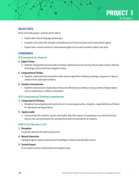

#### **OBJECTIVES**

At the end of the project, students will be able to:

- Explain what natural language processing is.
- Compare and contrast the strengths and weaknesses of virtual assistants and conversational agents.
- Explain how a virtual assistant or conversational agent can be used to perform subject area tasks.

#### **STANDARDS**

#### **ISTE Standards for Students**

#### 2. Digital Citizen

d. Students manage their personal data to maintain digital privacy and security and are aware of data-collection technology used to track their navigation online.

#### 5. Computational Thinker

d. Students understand how automation works and use algorithmic thinking to develop a sequence of steps to create and test automated solutions.

#### 6. Creative Communicator

c. Students communicate complex ideas clearly and effectively by creating or using a variety of digital objects such as visualizations, models or simulations.

#### **ISTE Computational Thinking Competencies**

#### 1. Computational Thinking

e. Recognize how computing and society interact to create opportunities, inequities, responsibilities and threats for individuals and organizations.

#### 2. Equity Leader

e. Communicate with students, parents and leaders about the impacts of computing in our world and across diverse roles and professional life, and why these skills are essential for all students.

#### **AI4K12 Five Big Ideas in AI**

#### 1. Perception

Computers perceive the world using sensors.

#### 4. Natural Interaction

Intelligent agents require many kinds of knowledge to interact naturally with humans.

#### 5. Societal Impact

AI can impact society in both positive and negative ways.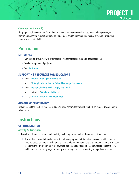### **PROJECT 1** AI Chatbots

#### <span id="page-13-0"></span>**Content Area Standard(s)**

This project has been designed for implementation in a variety of secondary classrooms. When possible, we recommend selecting relevant content area standards related to understanding the use of technology or other modern advances in that field.

### Preparation

#### **MATERIALS**

- Computer(s) or tablet(s) with internet connection for accessing tools and resources online.
- Teacher computer and projector.
- Tool: [Botframe](https://botframe.com/editor/new)

#### **SUPPORTING RESOURCES FOR EDUCATORS**

- Video: "[Natural Language Processing #7](http://www.pbs.org/video/natural-language-processing-7-eroyod/)"
- Article: "[A Simple Introduction to Natural Language Processing](http://becominghuman.ai/a-simple-introduction-to-natural-language-processing-ea66a1747b32)"
- Video: "[How do Chatbots work? Simply Explained](http://www.youtube.com/watch?v=aDZc_UW7uNA)"
- Article and video: "[What are Chatbots?](http://edu.gcfglobal.org/en/thenow/what-are-chatbots/1/)"
- Article: "[How to Design a Voice Experience](http://www.bbc.co.uk/gel/guidelines/how-to-design-a-voice-experience)"

#### **ADVANCED PREPARATION**

Test out each of the chatbots students will be using and confirm that they will run both on student devices and the school network.

### **Instructions**

#### **GETTING STARTED**

#### **Activity 1: Discussion**

In this activity, students activate prior knowledge on the topic of AI chatbots through class discussion.

**1.** Give students the definition of a chatbot: a software program that simulates conversation with a human. Simple chatbots can interact with humans using predetermined questions, answers, and statements that are coded into their programming. More advanced chatbots use AI for additional features like speech-to-text, text-to-speech, processing large vocabulary or knowledge bases, and learning from past conversations.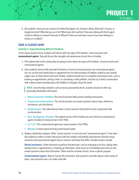**2.** Ask students: Have you ever used an AI chatbot like Apple's Siri, Amazon's Alexa, Microsoft's Cortana, or Google Assistant? What did you use it for? What tasks did it perform? How was talking with the AI agent similar to talking to a human? How was it different? Have you ever been unsure if you were talking to a human or a chatbot?

**PROJECT 1**

AI Chatbots

#### **TAKE A CLOSER LOOK**

#### **Activity 2: Experimenting With AI Chatbots**

In this inquiry-based activity, students will interact with two types of AI chatbots: virtual assistants and conversational agents. They will discuss the strengths and weaknesses of each form of chatbot.

- **1.** Tell students that in this activity they are going to learn about two types of AI chatbots: virtual assistants and conversational agents.
- **2.** Have students interact with and watch the demos of several virtual assistants and conversational agents. You can use the ones listed below or supplement this list with examples of chatbots related to your specific subject area. As they interact with each chatbot, students should ask it to complete several basic tasks, such as booking an appointment, setting a timer, or calculating a math problem; and also try to hold a conversation with it about several everyday topics like hobbies or thoughts about the world.

**NOTE:** Since the data entered is sent out to be processed by the AI, students should not offer any personally identifiable information.

- [Watson Assistant's BankBot](http://watson-assistant-demo.ng.bluemix.net): This virtual assistant helps process banking transactions.
- [Cleverscript virtual assistant](http://www.cleverscript.com/demos/virtual-assistant-demo/): This virtual assistant can answer questions about maps, definitions, translations, and calculations.
- [Google Duplex](http://www.youtube.com/watch?v=D5VN56jQMWM): This video demonstrates a virtual assistant that performs tasks using human-like communication.
- [Eliza, the Rogerian Therapist](http://psych.fullerton.edu/mbirnbaum/psych101/Eliza.htm): The original version of this chatbot was one of the first conversational agents mistaken for being human in the 1960s.
- [A.L.I.C.E.](http://www.mfellmann.net/content/alice.html): This conversational agent won several awards in the 1990s.
- [Mitsuku](http://www.pandorabots.com/mitsuku/): A recent award-winning conversational agent.
- **3.** Display a blank Venn diagram. Write "virtual assistant" in one circle and "conversational agent" in the other. Ask students to reflect on their interactions with the chatbots and identify characteristics that the virtual assistants and conversational agents have in common and those that differ. Possible answers include:

**Virtual assistants.** Follow directions to perform discrete tasks, such as managing to-do lists, taking notes, setting timers or appointments, or looking up information. Have access to a knowledge base and can only answer questions about that information. Often used for customer service. Serve a specific purpose.

**Conversational agents.** Natural, human-like interaction. Asks questions and talks about a wide variety of topics, even personal ones. Can make small talk.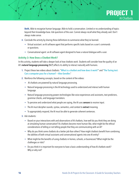

**Both.** Able to recognize human language. Able to hold a conversation. Limited or no understanding of topics beyond their knowledge base. Ask questions of the user. Cannot always recall what they already said. Don't always make sense.

- **4.** Conclude the activity by sharing these definitions to summarize what they've learned.
	- Virtual assistant: an AI software agent that performs specific tasks based on a user's commands or questions.
	- Conversational agent: an AI software agent designed to have a natural dialogue with a user.

#### **Activity 3: How Does a Chatbot Work?**

In this activity, students will take a deeper look at how chatbots work. Students will consider how the quality of an AI's natural language processing (NLP) affects its ability to interact naturally with humans.

- **1.** Project these two videos about chatbots: "[What is a chatbot and how does it work?](http://www.youtube.com/watch?v=38sL6pADCog)" and "[The Turing test:](http://youtu.be/3wLqsRLvV-c)  [Can a computer pass for a human? —Alex Gendler](http://youtu.be/3wLqsRLvV-c)."
- **2.** Reinforce the following concepts, based on the content of the videos:
	- AI chatbots are powered by natural language processing.
	- Natural language processing is the AI technology used to understand and interact with human language.
	- Natural language processing powers technologies like voice experiences and assistants, text predictors, grammar checks, and language translators.
	- To perceive and understand what people are saying, the AI uses **sensors** to receive input.
	- The AI must decipher sounds, syntax, semantics, and context to extract meaning.
	- To appropriately respond, the AI must be able to generate coherent sentences.
- **3.** Ask students:
	- Based on your interactions with and observations of AI chatbots, how well do you think they are doing at simulating human conversation? As chatbots become more human-like, what might be the ethical considerations of telling or not telling people that they are communicating with an AI?
	- Why do you think some chatbots do a better job than others? How might chatbots benefit from combining the abilities of both virtual assistants and conversational agents into one AI entity?
	- What might be the benefits of using chatbots in homes, schools, or businesses? What might be the challenges or risks?
	- Do you think it is important for everyone to have a basic understanding of how AI chatbots work? Why or why not?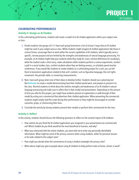### **PROJECT 1** AI Chatbots

#### **CULMINATING PERFORMANCES**

#### **Activity 4: Design an AI Chatbot**

In this culminating performance, students will create a model of an AI chatbot application within your subject area or class.

- **1.** Divide students into groups of 2–4. Have each group brainstorm a list of at least 3 ways that an AI chatbot might be used in your subject area or class. While students might imagine AI chatbot applications like those in science fiction, encourage them to work within the current capabilities of AI chatbots, which typically serve a specific, narrow purpose and are limited by the strengths and weaknesses of natural language processing. For example, an AI chatbot might help quiz students while they study for a test, retrieve definitions for vocabulary while the student reads a short story, make calculations while students perform a science experiment, conduct a poll in a social studies class, comfort students when they are feeling anxious, or schedule parent-teacher conferences. If you would like students to create chatbots as a culminating project for a unit, you can tell them to brainstorm applications related to that unit's content, such as figurative language, the civil rights movement, the periodic table, or converting measurements.
- **2.** Next, have each group select one of their ideas to develop further. Students should use a planning tool like **[Botframe](http://botframe.com/editor/new)** to create a model demonstrating how their chatbot would work, and prepare to present it to the class. Remind students to think about the realistic strengths and weaknesses of an AI chatbot's natural language processing and make sure to reflect that in their model and presentation. Depending on the amount of time you allot for this project, you might have students present an explanation or walk-through of their model by acting out a commercial that advertises their chatbot application. When presenting the commercial, students might simply read the script during their performance or they might be encouraged to consider costumes, props, or memorizing their lines.
- **3.** Conclude the activity by having students present their models or perform their commercials for the class.

#### **Activity 5: Reflect**

In this activity, students should discuss the following questions to reflect on the societal impact of AI chatbots:

- How realistic do you think the AI chatbot applications you imagined in your presentations (or commercials) are? Which chatbot do you think would be the most beneficial to humans, and why?
- When you interacted with the online chatbots, you were told not to enter any personally identifiable information. What might be some of the privacy concerns when using chatbots, either for personal reasons or for tasks related to this subject area?
- How might you decide when the convenience of using a chatbot outweighs the privacy risks?
- What advice might you give to people about using AI chatbots to help perform tasks at home, school, or work?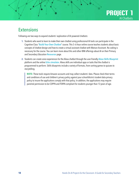

### <span id="page-17-0"></span>**Extensions**

Following are two ways to expand students' exploration of AI-powered chatbots:

- **1.** Students who want to learn to make their own chatbot using professional AI tools can participate in the Cognitive Class "[Build Your Own Chatbot](http://cognitiveclass.ai/courses/how-to-build-a-chatbot)" course. This 5-6 hour online course teaches students about basic concepts of chatbot design and how to create a virtual assistant chatbot with Watson Assistant. No coding is necessary for the course. You can learn more about this and other IBM offerings about AI on their Primary and Secondary Education [Resources](http://my15.digitalexperience.ibm.com/b73a5759-c6a6-4033-ab6b-d9d4f9a6d65b/dxsites/151914d1-03d2-48fe-97d9-d21166848e65/technology/k12-resources) page.
- 2. Students can create voice experiences for the Alexa chatbot through the user-friendly [Alexa Skills Blueprint](http://blueprints.amazon.com/home) platform and the online [Echo simulator](http://echosim.io/welcome). Alexa skills are individual apps or tasks that the chatbot is programmed to perform. Skills blueprints include a variety of formats, from sorting games to quizzes to storytelling.

**NOTE:** These tools require Amazon accounts and may collect students' data. Please check their terms and conditions of use and children's privacy policy against your school/district student data privacy policy to insure the applications comply with that policy. In addition, the applications may require parental permission to be COPPA and FERPA compliant for students younger than 13 years of age.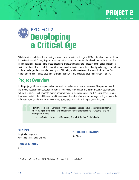<span id="page-18-0"></span>

What does it mean to be a discriminating consumer of information in the age of AI? According to a report published by the Pew Research Center, "Experts are evenly split on whether the coming decade will see a reduction in false and misleading narratives online. Those forecasting improvement place their hopes in technological fixes and in societal solutions. Others think the dark side of human nature is aided more than stifled by technology.<sup>1</sup>" The solution to these challenges lies with understanding how AI is being used to create and distribute disinformation. This understanding also requires focusing on critical thinking skills and increased focus on information literacy.

### Project Overview

In this project, middle and high school students will be challenged to learn about several AI-supported tools that are used to create and/or distribute information—both reliable information and disinformation. Class members will work in pairs or small groups to identify important topics in the news, and design 1–2 page plans describing how AI-supported tools could be employed to create and disseminate information campaigns, using both reliable information and disinformation, on those topics. Student teams will share their plans with the class.

> I think this could be a powerful project for language arts and social studies teachers to collaborate on. For example, using it in a civics course where students are examining how technology plays a role in policy-making.

— Lynn Erickson, Instructional Technology Specialist, Stafford Public Schools

#### **SUBJECT**

English language arts with cross-curricular Extensions.

#### **ESTIMATED DURATION**

10–12 hours

#### **TARGET GRADES**

8–12

1 Pew Research Center, October, 2017, "The Future of Truth and Misinformation Online"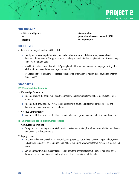

#### **VOCABULARY**

artificial intelligence bot deepfake

disinformation generative adversarial network (GAN) misinformation

#### **OBJECTIVES**

At the end of this project, students will be able to:

- Identify and explore ways information, both reliable information and disinformation, is created and distributed through use of AI-supported tools including, but not limited to, deepfake videos, distorted images, audio recordings, and bots.
- Select topics in the news and develop 1–2 page plans for AI-supported information campaigns, using either reliable information or disinformation, on those topics.
- Evaluate and offer constructive feedback on AI-supported information campaign plans developed by other student teams.

#### **STANDARDS**

#### **ISTE Standards for Students**

#### 3. Knowledge Constructor

- b. Students evaluate the accuracy, perspective, credibility and relevance of information, media, data or other resources.
- d. Students build knowledge by actively exploring real-world issues and problems, developing ideas and theories and pursuing answers and solutions.

#### 6. Creative Communicator

d. Students publish or present content that customizes the message and medium for their intended audiences.

#### **ISTE Computational Thinking Competencies**

#### 1. Computational Thinking

e. Recognize how computing and society interact to create opportunities, inequities, responsibilities and threats for individuals and organizations.

#### 2. Equity Leader

- b. Construct and implement culturally relevant learning activities that address a diverse range of ethical, social and cultural perspectives on computing and highlight computing achievements from diverse role models and teams.
- e. Communicate with students, parents and leaders about the impacts of computing in our world and across diverse roles and professional life, and why these skills are essential for all students.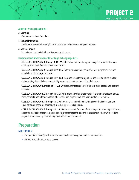#### **AI4K12 Five Big Ideas in AI**

#### 3. Learning

Computers can learn from data.

#### 4. Natural Interaction

Intelligent agents require many kinds of knowledge to interact naturally with humans.

#### 5. Societal Impact

AI can impact society in both positive and negative ways.

#### **Common Core State Standards for English Language Arts**

CCSS.ELA-LITERACY.RI.6.1 through RI.11-12.1: Cite textual evidence to support analysis of what the text says explicitly as well as inferences drawn from the text.

CCSS.ELA-LITERACY.RI.6.6 through RI.11-12.6: Determine an author's point of view or purpose in a text and explain how it is conveyed in the text.

CCSS.ELA-LITERACY.RI.6.8 through RI.11-12.8: Trace and evaluate the argument and specific claims in a text, distinguishing claims that are supported by reasons and evidence from claims that are not.

CCSS.ELA-LITERACY.W.6.1 through 11-12.1: Write arguments to support claims with clear reasons and relevant evidence.

CCSS.ELA-LITERACY.W.6.2 through 11-12.2: Write informative/explanatory texts to examine a topic and convey ideas, concepts, and information through the selection, organization, and analysis of relevant content.

CCSS.ELA-LITERACY.W.6.4 through 11-12.4: Produce clear and coherent writing in which the development, organization, and style are appropriate to task, purpose, and audience.

CCSS.ELA-LITERACY.W.6.8 through 11-12.8: Gather relevant information from multiple print and digital sources; assess the credibility of each source; and quote or paraphrase the data and conclusions of others while avoiding plagiarism and providing basic bibliographic information for sources.

### Preparation

#### **MATERIALS**

- Computer(s) or tablet(s) with internet connection for accessing tools and resources online.
- Writing materials: paper, pens, pencils.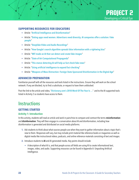

#### <span id="page-21-0"></span>**SUPPORTING RESOURCES FOR EDUCATORS**

- Article: "[Artificial Intelligence and Disinformation](http://www.researchgate.net/publication/338042476_Artificial_Intelligence_and_Disinformation)"
- Article: "[Dating apps need women. Advertisers need diversity. AI companies offer a solution: Fake](http://www.washingtonpost.com/technology/2020/01/07/dating-apps-need-women-advertisers-need-diversity-ai-companies-offer-solution-fake-people/)  [people](http://www.washingtonpost.com/technology/2020/01/07/dating-apps-need-women-advertisers-need-diversity-ai-companies-offer-solution-fake-people/)"
- Article: "[Deepfake Video and Audio Recordings](http://futureworkinstitute.com/deepfake-video-and-audio-recordings/)"
- Article: "[How Google's search algorithm spreads false information with a rightwing bias](http://www.theguardian.com/technology/2016/dec/16/google-autocomplete-rightwing-bias-algorithm-political-propaganda)"
- Article: "[MIT made an AI that can detect and create fake images](http://www.engadget.com/2019-07-01-mit-ibm-ai-photo-image-generator.html)"
- Article: "[State of Art Computational Propaganda](http://thesecuritydistillery.org/all-articles/state-of-art-computational-propaganda)"
- Article: "[This stance-detecting AI will help us fact-check fake news](http://thenextweb.com/neural/2020/03/14/this-stance-detecting-ai-will-help-us-fact-check-fake-news-syndication/)"
- Article: "[Using artificial intelligence to expand fact-checking](https://reporterslab.org/using-artificial-intelligence-to-expand-fact-checking/)"
- Article: "[Weapons of Mass Distraction: Foreign State-Sponsored Disinformation in the Digital Age](http://www.state.gov/wp-content/uploads/2019/05/Weapons-of-Mass-Distraction-Foreign-State-Sponsored-Disinformation-in-the-Digital-Age.pdf)"

#### **ADVANCED PREPARATION**

Familiarize yourself with all the resources and tools listed in the instructions. Ensure they will work on the school network. If any are blocked, try to find a substitute, or request to have them unblocked.

Post the link to the article and video, "Dictionary.com's 2018 Word Of The Year Is ..." and to the AI-supported tools listed in Activity 2 so students have access to them.

### **Instructions**

#### **GETTING STARTED**

#### **Activity 1: Introduction**

In this activity, students will read an article and work in pairs/trios to compare and contrast the terms misinformation and disinformation. They will then engage in a conversation about AI and disinformation, including how disinformation is generated and distributed on social media platforms.

- **1.** Ask students to think about what sources people use when they want to gather information about a topic that's new to them. Responses will vary, but may include print material like reference books or magazines as well as digital media like instructional videos, podcasts, and online reference materials consisting of text and images.
- **2.** Introduce students to AI and AI-generated media. Key points should include:
	- A description of what AI is, and that people across all fields are using AI to create informational text, images, video, and audio. Supporting resources can be found in Appendix A: Unpacking Artificial Intelligence.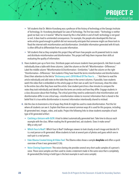- Tell students that Dr. Melvin Kranzberg was a professor of the history of technology at the Georgia Institute of Technology. Dr. Kranzberg developed Six Laws of Technology. The first law states: "Technology is neither good nor bad; nor is it neutral." What he meant by this is that while in and of itself, technology is not good or evil, it does lead to unintended consequences. For example, the people who developed AIs that can write articles good enough to publish did not necessarily anticipate that someone might use these tools to flood the internet with misinformation and disinformation. Unreliable information generated with AI tools is often difficult to differentiate from accurate information.
- Tell students that as they complete this project they will learn how people use AI-powered tools to create and distribute misinformation and disinformation. This project will help them improve their skills at evaluating the quality of information.
- **3.** Have students pair up or form trios. Distribute paper and ensure students have pens/pencils. Ask them to each individually draw a table with three columns. Label the column on the left "Misinformation—Differences." Label the middle column "Misinformation & Disinformation—Similarities." Label the column on the right "Disinformation—Differences." Ask students if they have heard the terms misinformation and disinformation. Direct their attention to the link to "Dictionary.com's 2018 Word Of The Year Is ... ." Ask them to read the article individually and add notes to the table they drew in the correct columns. If possible, have students watch the video that is embedded on the article page on their own as well, but if necessary, show the video to the entire class after they have read the article. Give student pairs/trios a few minutes to compare the notes they took individually and identify how the terms are similar and how they differ. Engage students in a class discussion about their findings. The critical point they need to understand is that misinformation and disinformation differ in one critical way—misinformation relates to incorrect information that is shared in the belief that it is true while disinformation is incorrect information intentionally shared to mislead.
- **4.** Ask the class to brainstorm a list of ways they think AI might be used to create disinformation. Post the list where all students can see it. Explain that there are several common ways AI is used for this purpose, including AI-generated text, images, video, and audio. Project the following links to show students examples of each type of AI-generated artifact:
	- [Catching a Unicorn with GLTR](http://gltr.io): A tool to detect automatically generated text: Take time to discuss each example with the class. When reading the AI-generated text, ask students: Does it make sense? Why or why not?
	- [Which Face Is Real?](http://www.whichfaceisreal.com/index.php): Which Face Is Real? challenges viewers to look closely at each image and decide if it is a real person or AI-generated. Allow students to look at several pairs of photos and guess which one in each pair is a real person.
	- [Fake Obama Created Using AI Video Tool](http://www.youtube.com/watch?time_continue=3&v=AmUC4m6w1wo): The Obama video shows a sample **deepfake** and offers a quick overview of how it was generated (1:26).
	- [Voice Cloning Experiment](http://audiodemos.github.io): This voice cloning site provides several very short audio samples of a person's voice. Those voice samples are then used to create a statement made in the same voice that is completely AI-generated (the listing in bold type is the best example in each voice sample).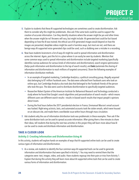- **5.** Explain to students that these AI-supported technologies are sometimes used to create disinformation. Ask them to consider why this might be problematic. Also ask if the same tools could be used to support the creation of accurate information. Can they identify situations where the answer might be yes and other times when the answer might be no? Answers will vary, but might include: AI-generated text could be fact-based depending on how the AI was trained; the ethical use of AI-generated images would depend on how the images are presented; deepfake videos might be used in harmless ways, but most are not; and there are benign ways AI-supported voice-generated clips could be used, such as dubbing over a mistake in a recording.
- **6.** Now have students brainstorm a list of ways AI might be used to spread information and disinformation across the internet. Again, post the list in a place where it can easily be seen by students. Mention that some common ways used to spread information and disinformation include targeted marketing (specifically identifies narrow audiences for various kinds of information and disinformation), search engine optimization (helps push information and disinformation to the top of search results), and bots (automate the sharing of information and disinformation to reach millions of targeted consumers). Share the following examples of information distribution methods.
	- In an example of targeted marketing, Cambridge Analytica, a political consulting group, illegally acquired data belonging to 87 million Facebook users. The data were collected from Facebook users who took an online quiz, but Cambridge Analytica also took data that belonged to the Facebook friends of the person who took the quiz. The data were used to distribute disinformation to specifically targeted audiences.
	- Researcher Robert Epstein of the American Institute for Behavioral Research and Technology conducted a study where he found that Google's search algorithms and personalization of search results—which means different users see different search results—results in biased search results that impact people's opinions about issues.
	- During the final hours before the 2017 presidential election in France, Emmanuel Macron's email account was hacked. Right-wing activists, bots, and automated accounts took the stolen emails, which were housed on an obscure site, and made them a worldwide issue within hours through mass circulation.
- **7.** Ask students why the use of information distribution tools was problematic in these examples. Then ask if the same distribution tools can be used to spread accurate information. After giving them a few minutes to share their ideas, tell students that during the next two activities in this project they will learn more about how AI can be used to create and distribute information and disinformation.

#### **TAKE A CLOSER LOOK**

#### **Activity 2: Creating Information and Disinformation Using AI**

In this activity, students will explore hands-on examples of ways that AI-supported online tools can be used to create various types of information and disinformation.

**1.** As a review, ask students to identify the four common ways AI-supported tools can be used to generate information and disinformation that were specified in Activity 1. You may need to remind them that the categories were: text, images, video, and audio. Have students regroup into their pairs or trios from Activity 1. Explain that during this activity they will learn more about AI-supported online tools that can be used to create various forms of information and disinformation.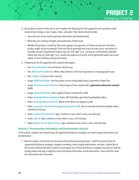- **2.** Ask students to work in their pair or trio to explore the following list of AI-supported tools and write a brief review of each category: text, images, video, and audio. Their review should include:
	- How each tool can be used to generate information and disinformation.
	- What they see as being strengths and weaknesses of these tools.
	- Whether the products created by these tools appear to be genuine, or if there are obvious clues that a product might not be trustworthy? Point out that AI-generated text may not make sense, even when it's factually accurate; AI-generated images may not "look right" (e.g., missing ear, odd hairline); deepfake videos also may not "look right" (e.g., mouth and audio out of synch); and AI-generated audio may sound robotic in terms of fluency and pronunciation.
- **3.** Following are the AI-supported tools students will explore:
	- Text: [Story Generator](http://boredhumans.com/story_generator.php). Let an AI write a story for you.
	- Text: [Write with Transformer](http://transformer.huggingface.co/doc/distil-gpt2/). Write a few sentences and let an AI generate a new paragraph for you.
	- Text: [Chatbot](http://boredhumans.com/#chat). Converse with a chat bot.
	- Image: [GAN Paint Studio](http://ganpaint.io/demo/?project=church). See how photos can be manipulated using a Generative Image Prior.
	- Image: [This Person Does Not Exist](http://thispersondoesnotexist.com). View images of faces created with a generative adversarial network (GAN).
	- Image: [Generated Photos](http://generated.photos). View a gallery of faces created with a GAN.
	- Video: [Deepfake Videos Explained](http://www.cbc.ca/kidsnews/post/how-to-tell-if-a-viral-video-is-fake). View a CBC Kids News spot featuring deepfake videos.
	- Video: [AI Brings Mona Lisa to Life](http://youtube.com/watch?v=P2uZF-5F1wI). Watch as the Mona Lisa appears to talk.
	- Video: [Samsung's new AI technology brings photos to life](http://www.youtube.com/watch?v=r7NBCactRbc). See an overview of several deepfake videos created by Samsung.
	- Audio: [Online Tone Generator](http://onlinetonegenerator.com/voice-generator.html). Type a sentence or two, select a voice, and click play.
	- Audio: [Spik.AI](http://spik.ai). Type a sentence or two, select a voice, and click play.
	- Audio: [Watson Text to Speech Demo](http://text-to-speech-demo.ng.bluemix.net/?_ga=2.55484079.52920708.1586063615-637137212.1586063615#reset). Type a sentence or two, select a voice, and click play.

#### **Activity 3: Disseminating Information and Disinformation Using AI**

In this activity, students will research ways AI-supported distribution strategies are used to spread information and disinformation.

**1.** Remind students of the brief class discussion that took place during Activity 1, which focused on three AIsupported distribution strategies: targeted marketing, search engine optimization, and bots. Explain that in this activity students will work in teams to investigate one of these distribution strategies, focusing on how the strategy works and ways it might be used to distribute information and disinformation. Teams will then share this information with classmates.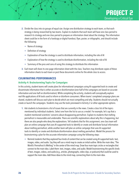

- **2.** Divide the class into six groups of equal size. Assign one distribution strategy to each team, so that each strategy is being researched by two teams. Explain to students that each team will have one class period to research its strategy and one class period to prepare an information sheet about the strategy. The information sheet could be in the form of a hardcopy or digital handout, flyer, poster, or infographic, and should include the following:
	- Name of strategy
	- Definition of strategy
	- Explanation of how the strategy is used to distribute information, including the role of AI
	- Explanation of how the strategy is used to distribute disinformation, including the role of AI
	- Summary of the pros and cons of using this strategy to distribute this information
- **3.** Each team will share its one-page information sheet with the class. Teachers may distribute copies of these information sheets to each team or post these documents online for the whole class to access.

#### **CULMINATING PERFORMANCES**

#### **Activity 4: Brainstorming Topics for Campaigns**

In this activity, student teams will create plans for informational campaigns using AI-supported tools to create and disseminate information that is either accurate or disinformation (one-half of the campaigns are based on accurate information and one-half on disinformation). While completing the activity, students will conceptually explore real-life applications of AI tools used to inform or disinform consumers. When teams' completed campaign plans are shared, students will discuss each plan to decide which are most compelling and why. Students should not actually create or launch the campaigns. Students may use the tools previewed in Activity 2 or other appropriate options.

- **1.** Ask students to brainstorm a list of issues that are currently in the news. Create a class list of the topics mentioned by individual students. Select one from the list to use as a model. For example, let's say that a student mentioned scientists' concerns about disappearing permafrost. Explain to students that melting permafrost is measurable and undeniable. There are scientific explanations about why this is happening, but there are also people who deny the explanations. Tell students that for this assignment, one class team will plan an online campaign that uses AI-supported tools to identify or create and distribute factual information about melting permafrost, while another team will plan an online campaign that uses AI-supported tools to identify or create and distribute disinformation about melting permafrost. Model the process for brainstorming a plan for the accurate information campaign using the following steps:
	- Remind students that they explored four kinds of content that can be created using AI-supported tools: text, images, video, and audio. Say they will use a mind map to create an initial outline. Write the main idea, "The World's Permafrost Is Melting" in the center of the mind map. Draw four main topic circles or rectangles that connect to the main idea. Label them: text, images, video, and audio. Model brainstorming the specific kinds of text, images, videos, and audio (e.g., articles, photographs, video clips, or podcasts) that could be used to support the main idea. Add these ideas to the mind map, connecting them to the main idea.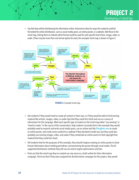

• Say that they will be distributing the information online. Brainstorm ideas for ways this material could be formatted for online distribution, such as social media posts, an online poster, or a website. Add these to the mind map, linking them to indicate which format could be used for each specific kind of text, image, video, or audio. (There may be more than one format option for each.) An example mind map is shown in Figure 2.



- Ask students if they would need to create all content on their own, or if they would be able to find existing material like articles, images, video, or audio clips that they could fact-check and use as a source of information for the campaign. Mark each specific type of content on the mind map either "use existing" or "need to create." In the course of the conversation, help students conclude that in this example they would probably need to research and write social media posts, use an online tool like [Thinglink.com](http://www.thinglink.com/) to create an online poster, and create some content for a website if they decided to build one, but they could also probably use existing images, video, and audio if they conducted an online search to find copyright-free material that they could fact-check.
- Tell students that for the purposes of this example, they should imagine creating an online poster to share factual information about melting permafrost, and promoting the poster through social media. The AIsupported distribution methods they will use are search engine optimization and bots.
- Point out that the mind map they've created can now serve as a draft outline for their information campaign. Point out that if they were assigned the disinformation campaign for this project, they would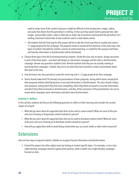need to create more of the content, because it might be difficult to find existing text, images, videos, and audio that denies that the permafrost is melting. In that case they would need to generate text, alter images, and possibly create a video or fabricate an audio clip of someone claiming that the permafrost isn't melting. Brainstorm what kinds of tools could be used to create faked content.

- Tell students that the final step for their project will be to take the mind map they've created and create a 1–2 page proposal for the campaign. The proposal needs to include all the elements in the mind map: title; types of content; format(s) for content; sources of content (existing, or created for this purpose and how); and how the information or disinformation will be distributed.
- **2.** Choose three topics from the list brainstormed by students. Divide the class into six teams. Assign two teams to each of the three topics—one team will design an information campaign and the other a disinformation campaign. Answer any questions students have. Remind students that they are not actually creating or launching these campaigns. Instead, they are to use what they have learned to create a presentation about their plan to the class.
- **3.** Give the teams two class periods to create the mind map and a 1–2 page proposal for their campaign.
- **4.** Teams should make brief (10-minute) oral presentations of their proposals, during which teams should pitch their proposals without identifying them as accurate information or disinformation. The class should critique each proposal, stating which they find most compelling, which they think are based on accurate information, and which they think are based on disinformation, and why. At the conclusion of the presentations, be sure to reveal which campaigns were information and which were disinformation.

#### **Activity 5: Reflect**

In this activity, students will discuss the following questions to reflect on their learning and consider the societal impact of using AI.

- What did you learn about AI-supported tools that can be used to create content? What are some of the pros and cons of having an AI generate content instead of a person?
- What did you learn about AI-supported tools that can be used to distribute content online? What are some of the pros and cons of having an AI distribute content instead of a person?
- How will you apply these skills to avoid being misled when you use social media or other online resources?

### **Extensions**

Here are four ways to expand students' abilities to recognize factual information and disinformation:

**1.** Extend this project into other subject areas by looking at content-specific topics. For example, a civics class might develop campaigns based on government policies, while a health class might develop campaigns focused on diets.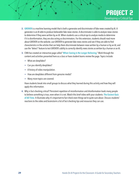

- <span id="page-28-0"></span>**2.** [GROVER](http://grover.allenai.org) is a machine learning model that is both a generator and discriminator of fake news created by AI. A generator is an AI able to produce believable fake news stories. A discriminator is able to analyze news stories to determine if they were written by an AI. When students use a critical eye to analyze media to determine if it is disinformation, they are also acting as discriminators. For this extension, students should read more about GROVER on the website; use GROVER to generate fake news stories and see if they are able to find characteristics in the articles that can help them discriminate between news written by a human or by an AI; and use the "detect" feature to test GROVER's ability to correctly identify news stories as written by a human or an AI.
- **3.** CNN has created an interactive page called "[When Seeing Is No Longer Believing](https://www.cnn.com/interactive/2019/01/business/pentagons-race-against-deepfakes/)." Work through the content and activities presented here as a class or have student teams review the page. Topics include:
	- What are deepfakes?
	- Can you identify deepfakes?
	- A history of video manipulation.
	- How are deepfakes different from genuine media?
	- Many more topics are covered.

Have students break into small groups to discuss what they learned during this activity and how they will apply this information.

**4.** Why is fact-checking critical? Persistent repetition of misinformation and disinformation leads many people to believe something is true, even when it is not. Watch this brief video with your students: The Easiest Quiz [of All Time](http://www.youtube.com/watch?v=oYGCVIOu6KI&feature=emb_logo). It illustrates why it's important to fact check even things we're quite sure about. Discuss students' reactions to the video and brainstorm a list of fact-checking tips and resources they can use.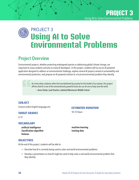## <span id="page-29-0"></span>**Using AI to Solve Environmental Problems** PROJECT 3

### Project Overview

Environmental projects, whether protecting endangered species or addressing global climate change, are important to many students and also to many AI developers. In this project, students will try out an AI-powered application designed to address an environmental challenge, explore several AI projects aimed at sustainability and environmental protection, and propose an AI-powered solution to a local environmental problem they identify.

> At a time when students often feel overwhelmed by anxiety for the health of our planet, this project affirms that AI is one of the extraordinarily powerful tools we can all use to help save the earth.

— Anna Clarke, Lead Teacher, Lakeland Montessori Middle School

#### **SUBJECT**

Science and/or English language arts

#### **TARGET GRADES**

6–12

#### **VOCABULARY**

artificial intelligence classification algorithm features

#### **ESTIMATED DURATION**

10–12 Hours

machine learning training data

#### **OBJECTIVES**

At the end of the project, students will be able to:

- Describe how AI is currently being used to solve real-world environmental problems.
- Develop a presentation on how AI might be used to help solve a real-world environmental problem that they identify.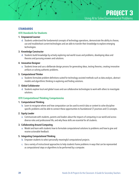#### **STANDARDS**

#### **ISTE Standards for Students**

#### 1. Empowered Learner

d. Students understand the fundamental concepts of technology operations, demonstrate the ability to choose, use and troubleshoot current technologies and are able to transfer their knowledge to explore emerging technologies.

#### 3. Knowledge Constructor

d. Students build knowledge by actively exploring real-world issues and problems, developing ideas and theories and pursuing answers and solutions.

#### 4. Innovative Designer

a. Students know and use a deliberate design process for generating ideas, testing theories, creating innovative artifacts or solving authentic problems.

#### 5. Computational Thinker

a. Students formulate problem definitions suited for technology-assisted methods such as data analysis, abstract models and algorithmic thinking in exploring and finding solutions.

#### 7. Global Collaborator

d. Students explore local and global issues and use collaborative technologies to work with others to investigate solutions.

#### **ISTE Computational Thinking Competencies**

#### 1. Computational Thinking

b. Learn to recognize where and how computation can be used to enrich data or content to solve disciplinespecific problems and be able to connect these opportunities to foundational CT practices and CS concepts.

#### 2. Equity Leader

e. Communicate with students, parents and leaders about the impacts of computing in our world and across diverse roles and professional life, and why these skills are essential for all students.

#### 3. Collaborating Around Computing

a. Model and learn with students how to formulate computational solutions to problems and how to give and receive actionable feedback.

#### 5. Integrating Computational Thinking

- b. Empower students to select personally meaningful computational projects.
- c. Use a variety of instructional approaches to help students frame problems in ways that can be represented as computational steps or algorithms to be performed by a computer.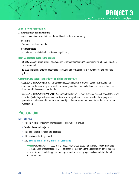**PROJECT 3** Using AI to Solve Environmental Problems

#### <span id="page-31-0"></span>**AI4K12 Five Big Ideas in AI**

#### 2. Representation and Reasoning

Agents maintain representations of the world and use them for reasoning.

3. Learning

Computers can learn from data.

#### 5. Societal Impact

AI can impact society in both positive and negative ways.

#### **Next Generation Science Standards**

MS-ESS3-3: Apply scientific principles to design a method for monitoring and minimizing a human impact on the environment.

HS-ESS3-4: Evaluate or refine a technological solution that reduces impacts of human activities on natural systems.

#### **Common Core State Standards for English Language Arts**

CCSS.ELA-LITERACY.WHST.6-8.7: Conduct short research projects to answer a question (including a selfgenerated question), drawing on several sources and generating additional related, focused questions that allow for multiple avenues of exploration.

CCSS.ELA-LITERACY.WHST.9-10.7/11-12.7: Conduct short as well as more sustained research projects to answer a question (including a self-generated question) or solve a problem; narrow or broaden the inquiry when appropriate; synthesize multiple sources on the subject, demonstrating understanding of the subject under investigation.

### Preparation

#### **MATERIALS**

- Student mobile devices with internet access (1 per student or group).
- Teacher device and projector.
- Listed online articles, tools, and resources.
- Sticky notes and writing utensils.
- App: [Seek by iNaturalist](https://www.inaturalist.org/pages/seek_app) and [iNaturalist User Guide](http://static.inaturalist.org/wiki_page_attachments/SeekUserGuide2020.pdf)

**NOTE:** iNaturalist, which is used in this project, offers a web-based alternative to Seek by iNaturalist that can be used by students aged 13+. The reason for mentioning the age restriction here is that the Seek by iNaturalist mobile app does not require students to set up a personal account, but the web application does.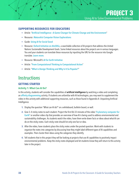**PROJECT 3** Using AI to Solve Environmental Problems

#### <span id="page-32-0"></span>**SUPPORTING RESOURCES FOR EDUCATORS**

- Article: "[Artificial Intelligence—A Game Changer for Climate Change and the Environment](http://blogs.ei.columbia.edu/2018/06/05/artificial-intelligence-climate-environment/)"
- Resource: [iNaturalist Computer Vision Explorations](http://www.inaturalist.org/pages/computer_vision_demo)
- Guide: [Using AI for Social Good](https://ai.google/education/social-good-guide/)
- Resource: [Oxford Initiative on AIxSDGs](http://www.aiforsdgs.org/all-projects), a searchable collection of AI projects that address the United Nations Sustainable Development Goals. Some linked resources about the projects are in various languages. You and your students can translate these resources by inputting the URL for the resource into Google translate. [Learn more](http://www.dummies.com/education/internet-basics/how-to-translate-a-website-with-google-translate/).
- Resource: Microsoft's [AI for Earth Initiative](http://www.microsoft.com/en-us/ai/ai-for-earth)
- Article: "[From Computational Thinking to Computational Action](http://cacm.acm.org/magazines/2019/3/234922-from-computational-thinking-to-computational-action/fulltext)"
- Article: "[What is Design Thinking and Why Is It So Popular?](https://www.interaction-design.org/literature/article/what-is-design-thinking-and-why-is-it-so-popular)"

### **Instructions**

#### **GETTING STARTED**

#### **Activity 1: What Can AI Do?**

In this activity, students will consider the capabilities of **artificial intelligence** by watching a video and completing an [affinity diagram](http://www.interaction-design.org/literature/article/affinity-diagrams-learn-how-to-cluster-and-bundle-ideas-and-facts)ming activity. If students are unfamiliar with AI technologies, you may want to supplement the video in this activity with additional supporting resources, such as those found in Appendix A: Unpacking Artificial Intelligence.

- **1.** Display the question "What can AI do?" on a whiteboard, bulletin board, or wall.
- **2.** Give 3–4 sticky notes to each student. Project the first 06:33 minutes of the video "[A planetary computer for](http://www.youtube.com/watch?v=y9eJMzZEjlc)  [Earth](http://www.youtube.com/watch?v=y9eJMzZEjlc)" or another video clip that provides an overview of how AI is being used to address environmental and sustainability challenges. As students watch the video, have them write down facts or ideas about what AI can do on the sticky notes. Each sticky note should list only one fact or idea.
- **3.** After the video, have students place the sticky notes under the posted question. Work with students to organize the notes into categories by discussing how they might label different types of AI capabilities and examples. Then cluster their ideas using the categories they identify.
- **4.** Tell students that in this project they will be looking at projects that use AI capabilities to positively impact environmental problems. Keep the sticky notes displayed and let students know they will return to this activity later in the project.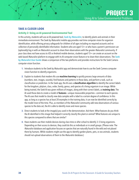#### **TAKE A CLOSER LOOK**

#### **Activity 2: Using an AI-powered Environmental Tool**

In this activity, students will use an AI-powered tool, [Seek by iNaturalist](https://www.inaturalist.org/pages/seek_app), to identify plants and animals in their immediate environment. The Seek by iNaturalist mobile app provides real-time computer vision for organism identification, while offering privacy safeguards for children of all ages including no required accounts and no collection of personally identifiable information. Students who are aged 13+ or who have a parent's permission can (optionally) log in with an iNaturalist account to share their observations with the greater iNaturalist community. If your class does not have access to iOS or Android mobile devices, students aged 13+ can create an account on the web-based iNaturalist platform to engage with its AI computer vision feature or to share their observations. The Seek by [iNaturalist User Guide](http://static.inaturalist.org/wiki_page_attachments/SeekUserGuide2020.pdf) shows a comparison of the two platforms and provides instructions for the Seek Camera computer vision function.

- **1.** Introduce students to the Seek by iNaturalist app and demonstrate how to use the Seek Camera computer vision function to identify organisms.
- **2.** Explain to students that modern AIs use machine learning to quickly process large amounts of data (numbers, text, images, sounds), find features and patterns in those data, and perform a task, such as classification or prediction. In the Seek app, the AI uses a classification algorithm to identify the correct labels for the kingdom, phylum, class, order, family, genus, and species of a living organism in an image. While being trained, the Seek AI was given millions of images, along with their correct labels, as training data. The AI used those data to create a model of **features**—unique measurable properties—common to each species. The AI uses that model to classify new data samples with a label to a certain degree of confidence. In this app, as long as a species has at least 20 examples in the training data, it can now be identified correctly by the model most of the time. Plus, as members of the iNaturalist community add new observations of various species to the data set, the AI is able to identify more and more species.
- **3.** Direct students to look at the image(s) you used in the demonstration. Ask them: What features do you think the AI identified in this image that helped it correctly classify this plant or animal? What features are unique to this species compared to others that are similar?
- **4.** Have students use their mobile devices during class time or after school to identify 3–5 living organisms. Depending on their access to devices, they could do this as individuals or in small groups. (Please note: The iNaturalist database and application focuses on species that are naturally found in the wild and not placed there by humans. While students might use the app to identify garden plants, pets, or zoo animals, students should not upload observations of them to the iNaturalist database.)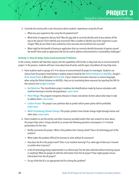- **5.** Conclude the activity with a class discussion about students' experiences using this AI tool.
	- What was your experience like using this AI-powered tool?
	- What kinds of organisms did you find? Was the app able to correctly identify each of your photos all the way to the species? Did it identify any incorrectly? Was it unable to identify any of the organisms in your images? Why do you think it was sometimes more accurate and sometimes less accurate?
	- What might be the benefit of having an application that can correctly identify thousands of species around the world? How could an application like this be used to address environmental or sustainability challenges?

#### **Activity 3: How AI Helps Solve Environmental Problems**

In this activity, students will take their inquiry into the capabilities of AI further as they look into an environmental AI project. In the process, students will learn more about how AI works and the types of problems AI may help solve.

- **1.** Have students work in groups of 2–4 to choose an environmental AI project to investigate. Students can choose from the projects listed below or explore projects listed by the [Oxford Initiative on AIxSDGs](http://www.aiforsdgs.org/all-projects), Google's [AI for Social Good](http://ai.google/social-good), or Microsoft's [AI for Earth](http://www.microsoft.com/en-us/ai/ai-for-earth). If your students encounter resources in various languages when using the [Oxford Initiative on AIxSDGs](http://www.aiforsdgs.org/all-projects), they can try translating these resources by inputting the URL for the resource into [Google translate](http://www.dummies.com/education/internet-basics/how-to-translate-a-website-with-google-translate/).
	- [Bat Detective](http://www.batdetective.org/beta/#!/classify): This classification project combines bat identifications made by human volunteers with machine learning to monitor bat populations. [Learn more](http://www.sciencedaily.com/releases/2018/03/180308142851.htm).
	- [Plant Village](http://plantvillage.psu.edu/): This program recognizes diseases in leaves and advises farmers about what steps to take to address them. [Learn more](http://www.nytimes.com/2018/10/21/business/from-agriculture-to-art-the-ai-wave-sweeps-in.html).
	- [Carbon Tracker](http://carbontracker.org): This project uses pollution data to predict which power plants will be profitable. [Learn more](http://www.nationalgeographic.com/environment/2019/07/artificial-intelligence-climate-change/#close).
	- [MILA's Visualizing Climate Change](https://mila.quebec/en/ai-society/visualizing-climate-change/): This project predicts how climate change might damage homes and other areas. [Learn more](https://www.nationalgeographic.com/environment/2019/07/artificial-intelligence-climate-change/#close).
- **2.** Direct students to use the articles and other resources provided and/or their own research to learn about the project they select. Groups should try to answer the following questions and prepare a 3–4 minute presentation for the class.
	- Briefly summarize the project. What is the problem that is being solved? How is AI technology part of the solution?
	- What makes the problem difficult for humans to solve without AI assistance?
	- How does the AI in the project work? Does it use machine learning? If so, what type of data was it trained on and/or does it process?
	- Is this AI technology being implemented in an ethical way? Are the data collected without harming anyone or anything? What do people do with the information from this AI project? How might people misuse information from this AI project?
	- Do you think that AI is an appropriate tool for solving this problem?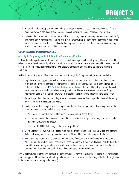- **3.** Have each student group present their findings. As they do, have their classmates write down new facts or ideas about what AI can do on sticky notes. Again, each sticky note should list only one fact or idea.
- **4.** Following the presentations, have students add any new sticky notes to the categories on the wall and briefly discuss the new AI capabilities or applications they discovered. Help students conclude that an AI's ability to outperform humans at tasks such as classification or prediction make it a useful technology in addressing many environmental and sustainability challenges.

#### **CULMINATING PERFORMANCES**

#### **Activity 4: Proposing an AI Solution to a Community Problem**

In this culminating performance, students will use a design thinking process to identify a way AI might be used to solve a real-world environmental problem. In addition to learning more about an environmental issue and potential uses of AI, students should also explore their own capacity for creating computational solutions to real world problems.

Divide students into groups of 2–4, then have them work through the 5 step design thinking process below.

- **1.** Empathize. In this step, students will ask: What are the environmental or sustainability problems I notice in my community? How do these problems affect the people around me? Students might find inspiration in the United Nations' list of [17 Sustainable Development Goals](http://www.un.org/sustainabledevelopment/sustainable-development-goals/). They should identify one specific local environmental or sustainability challenge to explore further. Have students research the issue. Suggest interviewing people in the community who are affected by the situation to understand the issue better.
- **2.** Define the problem. Students should synthesize their research and explain the problem in detail, including the ideal outcome of a solution that works.
- **3.** Ideate. Have students imagine how they might solve the problem using AI. When developing their solution, students should consider the following questions:
	- What makes the problem difficult for humans to solve without AI assistance?
	- How would the AI in the project work? Would it use machine learning? If so, what type of data will it be trained on and/or will it process?
	- How does the AI fit into the larger solution to the problem?
- **4.** Create a prototype. Have students create a multimedia artifact, such as an infographic, video, or slideshow, that includes diagrams or descriptions about how the AI would function in the proposed solution.
- **5.** Test. In this step, students will share their solution, garner feedback, and identify possible improvements. While multimedia products will be shared with classmates, ideally students would also be able to share their idea with the community members who would be most impacted by the problem and possible solution. Students should ask them for feedback and advice about their proposed solution.

Finally, before turning in their final product, students should have time to consider the feedback, make revisions to their prototype, and think about whether they feel it would be worthwhile to take their project further (through work in the current course or through other means).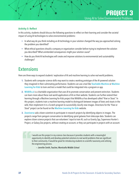#### <span id="page-36-0"></span>**Activity 5: Reflect**

In this activity, students should discuss the following questions to reflect on their learning and consider the societal impact of using AI technologies to solve environmental problems:

- In what way do you think including an AI technology in your solution changed the way you approached solving the problem you identified?
- What ethical questions should a company or organization consider before trying to implement the solution you described? What unintended consequences might your solution cause?
- How do you think AI technologies will create and improve solutions to environmental and sustainability challenges?

### **Extensions**

Here are three ways to expand students' exploration of AI and machine learning to solve real-world problems.

- **1.** Students with computer science skills may want to create a working prototype of the AI-powered solution they imagined in their culminating performance. Students can use a tool like [Teachable Machine](http://teachablemachine.withgoogle.com) or Machine [Learning for Kids](http://machinelearningforkids.co.uk) to train and test a model that could be integrated into a program or app.
- **2.** [Wildlife.ai](http://www.wildlife.ai) is a charitable organization that uses AI to promote conservation and prevent extinction. Students can learn more about these real-world applications of AI on their website. Students can further extend their learning through a Machine Learning for Kids project that Wildlife.ai has developed called "Kiwi or Stoat." In this project, students train a machine learning model to distinguish between images of kiwis and stoats in the wild, then implement it in a Scratch program to successfully classify new images. Directions for the "Kiwi or Stoat" project can be found on the [Machine Learning for Kids](http://machinelearningforkids.co.uk/#!/worksheets) website.
- **3.** [Zooniverse](http://www.zooniverse.org) asks citizen scientists to participate in research projects by identifying objects in images. The projects range from penguin conservation to identifying spiral galaxies from telescope data. Students can explore citizen science projects that use volunteers' input to train AI, such as Gravity Spy, Supernova Hunter´s Project, or Galaxy Zoo projects, without creating an account, or they can participate in projects with an account.

I would use this project in my science class because it provides students with a meaningful opportunity to identify and develop potential solutions to real world problems that are significant to their community. It would be great for introducing students to scientific taxonomy and utilizing the engineering process.

— Jennifer Smith, Teacher, Monticello Middle School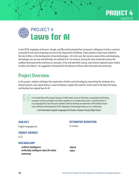

<span id="page-37-0"></span>

In late 2018, employees at Amazon, Google, and Microsoft protested their companies' willingness to bid on contracts to provide AI and cloud computing services to the [Department of Defense](http://www.vox.com/technology/2018/10/18/17989482/google-amazon-employee-ethics-contracts). These protests raised issues related to the role of ethics in the development of new technologies—AI in this case. But concerns about ethics and developing technologies are not new and definitely not confined to AI. For instance, during the early nineteenth century the Luddites destroyed textile machinery to save jobs. In the mid twentieth century, Isaac Asimov explored issues related to ethics and robotics. He suggested a framework for the behavior of those robots that had some autonomy.

### Project Overview

In this project, students will begin their exploration of ethics and technology by researching the attributes of an ethical business; learn about Asimov's Laws for Robotics; explore the need for similar work in the field of AI today; and develop four original laws for AI.

> I'm excited about this project because it effectively connects literature, computational thinking, computer science principles and ethics together in a turnkey lesson plan. I would use this in my Language Arts class because students need to develop an awareness of the ethical issues surrounding the development of the ubiquitous technologies they use on a daily basis.

— Pam Amendola, English Language Arts Teacher, Dawson County High School

#### **SUBJECT**

#### **ESTIMATED DURATION**

English language arts

5–6 hours

#### **TARGET GRADES**

6–12

#### **VOCABULARY**

artificial intelligence artificially intelligent robot (AI robot) autonomy

ethical robot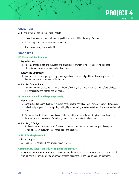

#### **OBJECTIVES**

At the end of this project, students will be able to:

- Explain how Asimov's Laws for Robots impact the portrayal of AI in the story "Runaround."
- Describe topics related to ethics and technology.
- Develop and justify four laws for AI.

#### **STANDARDS**

#### **ISTE Standards for Students**

#### 2. Digital Citizen

b. Students engage in positive, safe, legal and ethical behavior when using technology, including social interactions online or when using networked devices.

#### 3. Knowledge Constructor

d. Students build knowledge by actively exploring real-world issues and problems, developing ideas and theories, and pursuing answers and solutions.

#### 6. Creative Communicator

c. Students communicate complex ideas clearly and effectively by creating or using a variety of digital objects such as visualizations, models or simulations.

#### **ISTE Computational Thinking Competencies**

#### 2. Equity Leader

- b. Construct and implement culturally relevant learning activities that address a diverse range of ethical, social and cultural perspectives on computing and highlight computing achievements from diverse role models and teams.
- d. Communicate with students, parents and leaders about the impacts of computing in our world and across diverse roles and professional life, and why these skills are essential for all students.

#### 4. Creativity & Design

c. Guide students on the importance of diverse perspectives and human-centered design in developing computational artifacts with broad accessibility and usability.

#### **AI4K12 Five Big Ideas in AI**

#### 5. Societal Impact

AI can impact society in both positive and negative ways.

#### **Common Core State Standards for English Language Arts**

CCSS.ELA-LITERACY.RL.6.2 through 12.2: Determine a theme or central idea of a text and how it is conveyed through particular details; provide a summary of the text distinct from personal opinions or judgments.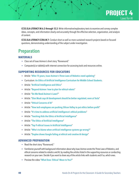

<span id="page-39-0"></span>CCSS.ELA-LITERACY.W.6.2 through 12.2: Write informative/explanatory texts to examine and convey complex ideas, concepts, and information clearly and accurately through the effective selection, organization, and analysis of content.

CCSS.ELA-LITERACY.CCRA.W.7: Conduct short as well as more sustained research projects based on focused questions, demonstrating understanding of the subject under investigation.

### Preparation

#### **MATERIALS**

- Class set of Isaac Asimov's short story "Runaround."
- Computer(s) or tablet(s) with internet connection for accessing tools and resources online.

#### **SUPPORTING RESOURCES FOR EDUCATORS**

- Article: "[After 75 years, Isaac Asimov's Three Laws of Robotics need updating](http://theconversation.com/after-75-years-isaac-asimovs-three-laws-of-robotics-need-updating-74501)"
- Curriculum: [An Ethics of Artificial Intelligence Curriculum for Middle School Students](http://docs.google.com/document/d/1e9wx9oBg7CR0s5O7YnYHVmX7H7pnITfoDxNdrSGkp60/edit#heading=h.ictx1ljsx0z4).
- Article: "[Artificial Intelligence and Ethics](http://harvardmagazine.com/2019/01/artificial-intelligence-limitations)"
- Article: "[Beyond Asimov: how to plan for ethical robots](http://theconversation.com/beyond-asimov-how-to-plan-for-ethical-robots-59725)"
- Article: "[Do We Need Asimov's Laws?](http://www.technologyreview.com/s/527336/do-we-need-asimovs-laws/)"
- Article: "[Elon Musk says AI development should be better regulated, even at Tesla](http://www.theverge.com/2020/2/18/21142489/elon-musk-ai-regulation-tweets-open-ai-tesla-spacex-twitter)"
- Article: "[Ethical Concerns of AI](http://www.forbes.com/sites/cognitiveworld/2020/12/29/ethical-concerns-of-ai/#738385b423a8)"
- Article: "[How tech employees are pushing Silicon Valley to put ethics before profit](http://www.vox.com/technology/2018/10/18/17989482/google-amazon-employee-ethics-contracts)"
- Article: "[It's time to address artificial intelligence's ethical problems](http://www.wired.co.uk/article/artificial-intelligence-ethical-framework)"
- Article: "[Teaching Kids the Ethics of Artificial Intelligence](http://www.wgbh.org/news/science-and-technology/2019/07/31/teaching-kids-the-ethics-of-artificial-intelligence)"
- Article: "[The Ethics of Artificial Intelligence](http://intelligence.org/files/EthicsofAI.pdf)"
- Article: "[Top 9 ethical issues in Artificial Intelligence](http://www.weforum.org/agenda/2016/10/top-10-ethical-issues-in-artificial-intelligence)"
- Article: "[Who's to blame when artificial intelligence systems go wrong?](http://theconversation.com/whos-to-blame-when-artificial-intelligence-systems-go-wrong-45771)"
- Article: "[Duplex shows Google failing at ethical and creative AI design](http://techcrunch.com/2018/05/10/duplex-shows-google-failing-at-ethical-and-creative-ai-design/)"

#### **ADVANCED PREPARATION**

- Read the short story "Runaround."
- Familiarize yourself with background information about why Isaac Asimov wrote the Three Laws of Robotics, and ethical concerns related to robotics and AI, by reading the articles listed in the supporting resources or conducting research on your own. Decide if you want to share any of the article links with students and if so, which ones.
- Preview the video "[What Does 'Ethical' Mean to You?](http://www.youtube.com/watch?v=8fjy9HRanh8)"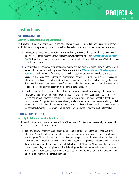### <span id="page-40-0"></span>**Instructions**

#### **GETTING STARTED**

#### **Activity 1. Discussion and Rapid Research**

In this activity, students will participate in a discussion of what it means for individuals and businesses to behave ethically. They will complete a rapid research exercise to learn about businesses that are considered to be ethical.

**1.** Most students have a strong sense of fair play. How do they react when they believe they've been treated unfairly? What does it mean to behave ethically? Show students the video clip, "What Does 'Ethical' Mean to [You?](http://youtube.com/watch?v=8fjy9HRanh8&feature=youtu.be)" Ask students to think about the question posed in the video. How would they answer? Volunteers may share their responses.

**PROJECT 4**

Laws for AI

- **2.** Ask students if they are aware of businesses or organizations that identify as being ethical. Can they name a business that is thought of as being ethical? Refer students to the [2020 World's Most Ethical Companies](http://www.worldsmostethicalcompanies.com/honorees/?__hstc=222959556.ea12d093d37cb1f431182cb9fc8463aa.1584656409226.1584656409226.1584656409226.1&__hssc=222959556.1.1584656409227&__hsfp=1829511250)  [Honoree List](http://www.worldsmostethicalcompanies.com/honorees/?__hstc=222959556.ea12d093d37cb1f431182cb9fc8463aa.1584656409226.1584656409226.1584656409226.1&__hssc=222959556.1.1584656409227&__hsfp=1829511250). Ask students to form pairs, select one business from the list (monitor selections so each business is chosen just once), and then do a quick research activity to learn why that business is considered ethical, what it is doing well, and where it can improve. Student pairs will then create a one-page document that names the business and provides the information listed in the previous sentence. Post the documents in an online class space or in the classroom for students to read and review.
- **3.** Explain to students that in the remaining activities in this project they will be exploring topics related to ethics and technology. Mention that innovations in science and technology dating back 500 years or more have caused dramatic changes in people's lives. Many of these changes are to our benefit, but that's not always the case. It's important to think carefully not just about advancements that can and are being made in technologies, but also about the positive and negative impacts these technologies will have on our world. This project helps students become aware of ethical considerations related to new and existing technologies.

#### **TAKE A CLOSER LOOK**

#### **Activity 2: Asimov's Laws for Robotics**

In this activity, students will learn about Isaac Asimov's Three Laws of Robotics: what they are, why he developed them, and how he applied them in his writing.

**1.** Begin this activity by drawing a Venn diagram. Label one circle "Robots" and the other circle "Artificial Intelligence;" label the intersection "AI robots." Introduce students to the concept of artificial intelligence, explaining what AI is and that people across all fields are using AI to power decision making, problem solving, and automation. Supporting resources can be found in Appendix A: Unpacking Artificial Intelligence. Then, in the Venn diagram, have the class brainstorm a list of robots, both AI and non-AI, and place them in the correct spot in the Venn diagram. Examples of artificially intelligent robots (AI robots) include warehouse robots that navigate the warehouse, some delivery drones, or self-driving cars. Help students to understand that AI robots are able to make **autonomous** decisions.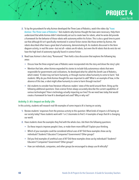

- **2.** To lay the groundwork for why Asimov developed the Three Laws of Robotics, watch the video clip "Isaac [Asimov: The Three Laws of Robotics.](https://www.youtube.com/watch?v=AWJJnQybZlk)" Ask students why Asimov thought the laws were necessary. Help them understand that while Asimov didn't intentionally set out to create laws for robots, what he wrote did provide a framework for the behavior of those robots with autonomy within his fiction. This is also a good time to point out that although AI isn't specifically mentioned in science fiction stories like those written by Asimov, the robots described often have a great deal of autonomy, demonstrating AI. As students discussed in the Venn diagram activity, in real life some—but not all—robots are AI robots, but even the AI robots that do exist do not have the high level of autonomy typically found in science fiction.
- **3.** Read Isaac Asimov's short story "Runaround." Then hold a class discussion that explores the following key areas:
	- Discuss how the three original Laws of Robotics were incorporated into the story and drove the story's plot.
	- Mention that later, when Asimov expanded his stories to include fully autonomous robots that were responsible for governments and civilizations, he developed what he called the Zeroth Law of Robotics, which stated, "A robot may not harm humanity, or through inaction allow humanity to come to harm." Ask students: Why do you think Asimov thought this was important to add? What is an example of how, in the absence of this law, a robot might allow humanity to come to harm through inaction?
	- Ask students to consider how literature influences readers' views of the world around them. Bring up the following additional questions: Does science fiction always accurately describe the current capabilities of various technologies? How is technology actually impacting our lives? Do we need laws today that would create a framework for how AI is developed and used? Why or why not?

#### **Activity 3: AI's Impact on Daily Life**

In this activity, students will research real-life examples of some impacts AI is having on society.

- **1.** Review students' responses from the previous activity to this question: What kinds of impacts is AI having on our society today? Have students work with 1 or 2 classmates to find 3–4 examples of ways that AI is changing our world.
- **2.** Have students share the examples they find with the whole class. Ask them the following questions:
	- Do these impacts improve people's lives, or make them more difficult? Explain your thinking.
	- Which of your examples could be considered ethical uses of AI? Did these examples show use by individuals? Students? Educators? Companies? Governments? Other groups?
	- Did you find examples of unethical uses of AI? Did these examples show use by individuals? Students? Educators? Companies? Government? Other groups?
	- How can individuals, companies, and other groups be encouraged to always use AI ethically?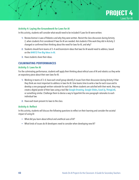

#### **Activity 4: Laying the Groundwork for Laws for AI**

In this activity, students will consider what would need to be included if Laws for AI were written.

- **1.** Review Asimov's Laws of Robotics and why they were written. Revisit the class discussion during Activity 2, when students first considered if laws for AI are needed. Ask students if the work they did in Activity 3 changed or confirmed their thinking about the need for laws for AI, and why?
- **2.** Students should form teams of 3–4 and brainstorm ideas that laws for AI would need to address, based on the [AI4K12 Five Big Ideas in AI](https://github.com/touretzkyds/ai4k12/raw/master/documents/AI4K12_Five_Big_Ideas_Poster.pdf).
- **3.** Have students share their ideas.

#### **CULMINATING PERFORMANCES**

#### **Activity 5: Laws for AI**

For the culminating performance, students will apply their thinking about ethical uses of AI and robotics as they write an expository piece about their own laws for AI.

- **1.** Working in teams of 3–4, have each small group identify 4 issues from their discussion during Activity 4 that they think are most important to address in laws for AI. Give teams time to write a law for each issue and to develop a one-paragraph written rationale for each law. When students are satisfied with their work, they may create a digital poster of their laws using a tool like [Google Drawi](https://docs.google.com/drawings/)ng, [Google Slides](https://www.google.com/slides/about/), [Easel.ly](https://www.easel.ly/), [ThingLink](https://www.thinglink.com/ ), or something similar. Challenge them to devise a way to hyperlink the one-paragraph rationales to each individual law.
- **2.** Have each team present its laws to the class.

#### **Activity 6: Reflect**

In this activity, students will discuss the following questions to reflect on their learning and consider the societal impact of using AI:

- What did you learn about ethical and unethical uses of AI?
- What kinds of issues do AI developers need to consider when developing new AI?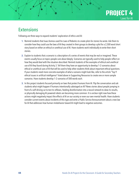

### <span id="page-43-0"></span>**Extensions**

Following are three ways to expand students' exploration of ethics and AI:

- **1.** Remind students that Isaac Asimov used his Laws of Robotics to create plots for stories he wrote. Ask them to consider how they could use the laws of AI they created in their groups to develop a plot for a 2,500 word short story based on either an ethical or unethical use of AI. Have students work individually to write their short stories.
- **2.** Explain to students that a scenario is a description of a series of events that may be real or imagined. These events usually focus on topics people care about deeply. Scenarios are typically used to help people reflect on how they would deal with the situation described. Remind students of the examples of ethical and unethical use of AI they found during Activity 3. Tell them they have an opportunity to develop 1–2 scenarios about ethical or unethical uses of AI that will be used to help other students think about important ethical questions. If your students need more concrete examples of what a scenario might look like, refer to the article "Top 9 ethical issues in artificial intelligence" listed above in Supporting Resources to create one or more sample scenarios. Have students develop 1–2 scenarios of 500 words each.
- **3.** In this project students focused primarily on laws that protect humans from AI. Flip the conversation and ask students what might happen if humans intentionally sabotaged an AI? News stories about people jumping in front of a self-driving car to test its reflexes, feeding disinformation into a neural network to skew its results, or physically damaging AI-powered robots are becoming more common. It is unclear right now how these actions might negatively impact the effects of AI on our society or even our own mental health. Have students consider current events about incidents of this type and write a Public Service Announcement about a new law for AI that addresses how human misbehavior toward AI might lead to negative outcomes.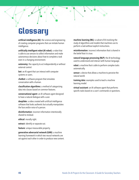## <span id="page-44-0"></span>**Glossary**

artificial intelligence (AI): the science and engineering of creating computer programs that can imitate human intelligence.

artificially intelligent robot (AI robot): a robot that is able to use sensors to collect information and make autonomous decisions about how to complete a task even in a changing environment.

autonomy: the capacity to act independently or without external control.

bot: an AI agent that can interact with computer systems or users.

chatbot: a software program that simulates conversation with a human.

classification algorithms: a method of categorizing data into classes based on common features.

conversational agent: an AI software agent designed to have a natural dialogue with a user.

deepfake: a video created with artificial intelligence software that looks authentic but actually manipulates the face and/or voice of a person.

disinformation: incorrect information intentionally shared to mislead.

ethical: morally right.

extract: identify or separate out.

feature: unique measurable property.

generative adversarial network (GAN): a machine learning framework in which two neural networks are set against each other in order to produce new content. machine learning (ML): a subset of AI involving the study of algorithms and models that machines use to perform a task without explicit instructions.

misinformation: incorrect information that is shared in the belief that it is true.

natural language processing (NLP): the AI technology used to understand and interact with human language.

robot: a machine that is able to perform complex tasks automatically.

sensor: a device that allows a machine to perceive the natural world.

training data: examples used to teach a machine learning model.

virtual assistant: an AI software agent that performs specific tasks based on a user's commands or questions.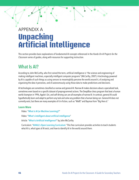## <span id="page-45-0"></span>APPENDIX A **Unpacking Artificial Intelligence**

This section provides basic explanations of fundamental AI concepts referenced in the *Hands-On AI Projects for the Classroom* series of guides, along with resources for supporting instruction.

### What Is AI?

According to John McCarthy, who first coined the term, artificial intelligence is "the science and engineering of making intelligent machines, especially intelligent computer programs" (McCarthy, 2007). A technology powered by AI is capable of such things as using sensors to meaningfully perceive the world around it, of analyzing and organizing the data it perceives, and of autonomously using those data to make predictions and decisions.

AI technologies are sometimes classified as narrow and general AI. Narrow AI makes decisions about a specialized task, sometimes even based on a specific dataset of preprogrammed actions. The DeepBlue chess program that beat a human world champion in 1996, Apple's Siri, and self-driving cars are all examples of narrow AI. In contrast, general AI could hypothetically learn and adapt to perform any task and solve any problem that a human being can. General AI does not currently exist, but there are many examples of it in fiction, such as "WallE" and Baymax from "Big Hero 6."

#### **Learn More**

Video: "[What is AI \(or Machine Learning\)?](www.youtube.com/watch?v=mJeNghZXtMo&feature=youtu.be)"

Video: "[What's intelligent about artificial intelligence](www.youtube.com/watch?v=xR6j9TLZdAw)"

Article: "[What Is Artificial Intelligence?](jmc.stanford.edu/articles/whatisai/whatisai.pdf)" by John McCarthy

Curriculum: "[AI4ALL's Open Learning Curriculum](https://ai-4-all.org/open-learning/)." This free curriculum provides activities to teach students what AI is, what types of AI exist, and how to identify AI in the world around them.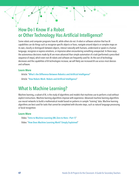### <span id="page-46-0"></span>How Do I Know If a Robot or Other Technology Has Artificial Intelligence?

Some robots and computer programs have AI, while others do not. A robot or software solution that has AI capabilities can do things such as recognize specific objects or faces, navigate around objects or complex maps on its own, classify or distinguish between objects, interact naturally with humans, understand or speak in a human language, recognize or express emotions, or improvise when encountering something unexpected. In these ways, the autonomous decisions made by AI are more advanced than simple automation of a task (performed a prescribed sequence of steps), which even non-AI robots and software are frequently used for. As the cost of technology decreases and the capabilities of AI technologies increase, we will likely see increased AI use across most devices and software.

#### **Learn More**

Article: "[What's the Difference Between Robotics and Artificial Intelligence](blog.robotiq.com/whats-the-difference-between-robotics-and-artificial-intelligence)" Article: "[How Robots Work: Robots and Artificial Intelligence](science.howstuffworks.com/robot6.htm)"

### What Is Machine Learning?

Machine learning, a subset of AI, is the study of algorithms and models that machines use to perform a task without explicit instructions. Machine learning algorithms improve with experience. Advanced machine learning algorithms use neural networks to build a mathematical model based on patterns in sample "training" data. Machine learning algorithms are best used for tasks that cannot be completed with discrete steps, such as natural language processing or facial recognition.

#### **Learn More**

Video: "[Intro to Machine Learning \(ML Zero to Hero—Part 1\)](www.youtube.com/watch?v=KNAWp2S3w94)" Video: "[How Does Machine Learning Work? Simply Explained](www.youtube.com/watch?v=h12O5CWc-is)"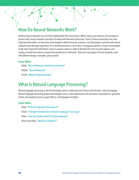### <span id="page-47-0"></span>How Do Neural Networks Work?

Artificial neural networks are currently modeled after the human brain. While a brain uses neurons and synapses to process data, neural networks use layers of nodes with directed connections. Some of these connections are more important than others, so they have more weight in determining the outcome. Just like people, machines with neural networks learn through experience. As a machine processes a set of data, it recognizes patterns, assigns more weight to the most important information, learns to process inputs in order to develop the most accurate outputs, and creates a model from which to make future predictions or decisions. There are many types of neural networks, each with different design, strengths, and purposes.

#### **Learn More**

Video: "[Neural Networks and Deep Learning #3](www.pbs.org/video/neural-networks-and-deep-learning-3-dw9eip/)" Playlist: "[Neural Networks](www.youtube.com/playlist?list=PLZHQObOWTQDNU6R1_67000Dx_ZCJB-3pi)" Article: "[What Is Deep Learning?](www.machinelearningmastery.com/what-is-deep-learning/)"

### What Is Natural Language Processing?

Natural language processing is the AI technology used to understand and interact with humans' natural language. Natural language processing powers technologies such as voice experiences and assistants, text predictors, grammar checks, text analyzers (such as spam filters), and language translators.

#### **Learn More**

Video: "[Natural Language Processing #7](www.pbs.org/video/natural-language-processing-7-eroyod/)" Article: "[A Simple Introduction to Natural Language Processing](www.becominghuman.ai/a-simple-introduction-to-natural-language-processing-ea66a1747b32)" Video: "[How Do Chatbots Work? Simply Explained](www.youtube.com/watch?v=aDZc_UW7uNA)" Article and video: "[What Are Chatbots?](edu.gcfglobal.org/en/thenow/what-are-chatbots/1/)"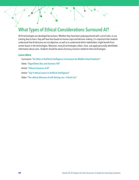### <span id="page-48-0"></span>What Types of Ethical Considerations Surround AI?

All AI technologies are developed by humans. Whether they have been preprogrammed with a set of rules, or use training data to learn, they will have bias based on human input and decision making. It is important that students understand that AI decisions are not objective, as well as to understand which stakeholders might benefit from certain biases in the technologies. Moreover, many AI technologies collect, store, and apply personally identifiable information about users. Students should be aware of privacy concerns related to these technologies.

#### **Learn More**

Curriculum: "[An Ethics of Artificial Intelligence Curriculum for Middle School Students](docs.google.com/document/d/1e9wx9oBg7CR0s5O7YnYHVmX7H7pnITfoDxNdrSGkp60/edit?usp=sharing)" Video: "[Algorithmic Bias and Fairness #18](www.pbs.org/video/algorithmic-bias-and-fairness-18-4gxvyl/)" Article: "[Ethical Concerns of AI](www.forbes.com/sites/cognitiveworld/2020/12/29/ethical-concerns-of-ai/#738385b423a8)" Article: "[Top 9 ethical issues in Artificial Intelligence](www.weforum.org/agenda/2016/10/top-10-ethical-issues-in-artificial-intelligence/)"

Video: "[The ethical dilemma of self-driving cars—Patrick Lin](www.youtube.com/watch?v=ixIoDYVfKA0)"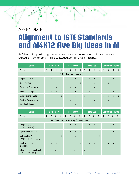## <span id="page-49-0"></span>APPENDIX B **Alignment to ISTE Standards and AI4K12 Five Big Ideas in AI**

The following tables provide a big-picture view of how the projects in each guide align with the ISTE Standards for Students, ISTE Computational Thinking Competencies, and AI4K12 Five Big Ideas in AI.

| Guide                              | <b>Elementary</b> |                |              |              |              |                | <b>Secondary</b> |                |              |                | <b>Electives</b> |                | <b>Computer Science</b> |                |                |              |  |
|------------------------------------|-------------------|----------------|--------------|--------------|--------------|----------------|------------------|----------------|--------------|----------------|------------------|----------------|-------------------------|----------------|----------------|--------------|--|
| Project                            | $\mathbf{1}$      | $\overline{2}$ | 3            | 4            | 1            | $\overline{2}$ | $\overline{3}$   | $\overline{4}$ | $\mathbf{1}$ | $\overline{2}$ | $\overline{3}$   | $\overline{4}$ | $\mathbf{1}$            | $\overline{2}$ | $\overline{3}$ | 4            |  |
| <b>ISTE Standards for Students</b> |                   |                |              |              |              |                |                  |                |              |                |                  |                |                         |                |                |              |  |
| <b>Empowered Learner</b>           | $\mathsf{X}$      | $\mathsf{x}$   |              |              |              |                | $\mathsf{X}$     |                |              | $\mathsf{X}$   | $\mathsf{X}$     | $\mathsf{X}$   | $\mathsf{x}$            |                | $\mathsf{X}$   | $\mathsf{X}$ |  |
| <b>Digital Citizen</b>             |                   |                |              |              | $\mathsf{X}$ |                |                  | $\mathsf{x}$   |              |                | $\mathsf{x}$     |                |                         | $\mathsf{X}$   |                |              |  |
| Knowledge Constructor              | $\mathsf{X}$      |                | $\mathsf{X}$ | $\mathsf{X}$ |              | $\mathsf{X}$   | $\mathsf{X}$     | $\mathsf{x}$   |              |                | $\mathsf{x}$     |                | $\mathsf{X}$            |                |                |              |  |
| <b>Innovative Designer</b>         |                   | $\mathsf{x}$   | $\mathsf{x}$ |              |              |                | $\mathsf{X}$     |                | $\mathsf{X}$ | $\mathsf{x}$   |                  |                |                         |                | $\mathsf{x}$   | X            |  |
| <b>Computational Thinker</b>       |                   |                | $\mathsf{x}$ | $\mathsf{X}$ | $\mathsf{x}$ |                | $\mathsf{X}$     |                | $\mathsf{X}$ |                | $\mathsf{X}$     |                | $\mathsf{X}$            | $\mathsf{x}$   | $\mathsf{x}$   | X            |  |
| <b>Creative Communicator</b>       |                   |                |              |              | $\mathsf{X}$ | $\mathsf{x}$   |                  | $\mathsf{x}$   |              |                | $\mathsf{x}$     |                |                         | X              |                |              |  |
| <b>Global Collaborator</b>         |                   |                |              |              |              |                | $\mathsf{X}$     |                |              |                |                  | X              | $\mathsf{x}$            |                |                |              |  |

| Guide                                                      |              |                | <b>Elementary</b> |              |              |                | <b>Secondary</b> |                         |              |                | <b>Electives</b> |                | <b>Computer Science</b> |                |              |                |  |
|------------------------------------------------------------|--------------|----------------|-------------------|--------------|--------------|----------------|------------------|-------------------------|--------------|----------------|------------------|----------------|-------------------------|----------------|--------------|----------------|--|
| Project                                                    | 1            | $\overline{2}$ | 3                 | 4            | 1            | $\overline{2}$ | $\mathbf{3}$     | $\overline{\mathbf{4}}$ | $\mathbf{1}$ | $\overline{2}$ | $\mathbf{3}$     | $\overline{4}$ | 1                       | $\overline{2}$ | 3            | $\overline{4}$ |  |
| <b>ISTE Computational Thinking Competencies</b>            |              |                |                   |              |              |                |                  |                         |              |                |                  |                |                         |                |              |                |  |
| Computational<br>Thinking (Learner)                        |              |                |                   | $\mathsf{x}$ | $\mathsf{X}$ | $\mathsf{X}$   | $\mathsf{X}$     |                         | $\mathsf{x}$ | $\mathsf{X}$   | $\mathsf{X}$     | $\mathsf{X}$   | $\mathsf{X}$            |                | $\mathsf{X}$ | $\mathsf{x}$   |  |
| Equity Leader (Leader)                                     |              |                |                   |              | $\mathsf{x}$ | $\mathsf{X}$   | $\mathsf{X}$     | $\mathsf{x}$            |              |                |                  |                |                         |                | $\mathsf{x}$ | $\mathsf{x}$   |  |
| <b>Collaborating Around</b><br>Computing (Collaborator)    | $\mathsf{X}$ |                |                   | $\mathsf{x}$ |              |                | X                |                         |              |                |                  | $\mathsf{X}$   | $\mathsf{X}$            |                |              |                |  |
| <b>Creativity and Design</b><br>(Designer)                 | $\mathsf{x}$ | $\mathsf{x}$   | $\mathsf{X}$      | $\mathsf{x}$ |              |                |                  | X                       | $\mathsf{x}$ | $\mathsf{x}$   | $\mathsf{x}$     |                |                         | X              | $\mathsf{x}$ |                |  |
| <b>Integrating Computational</b><br>Thinking (Facilitator) |              | $\mathsf{x}$   | $\mathsf{x}$      |              |              |                | X                |                         | X            | X              |                  |                |                         | $\mathsf{x}$   |              |                |  |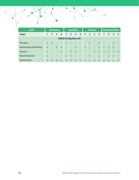| Guide                                 | <b>Elementary</b> |                |                |                |              |                | <b>Secondary</b>        |                |                      |                | <b>Electives</b>        |                | <b>Computer Science</b> |                |                |                |  |
|---------------------------------------|-------------------|----------------|----------------|----------------|--------------|----------------|-------------------------|----------------|----------------------|----------------|-------------------------|----------------|-------------------------|----------------|----------------|----------------|--|
| Project                               | 1                 | $\overline{2}$ | $\overline{3}$ | $\overline{4}$ | $\mathbf{1}$ | $\overline{2}$ | $\overline{\mathbf{3}}$ | $\overline{4}$ | $\blacktriangleleft$ | $\overline{2}$ | $\overline{\mathbf{3}}$ | $\overline{4}$ | $\overline{1}$          | $\overline{2}$ | $\overline{3}$ | $\overline{4}$ |  |
| AI4K12 Five Big Ideas in AI           |                   |                |                |                |              |                |                         |                |                      |                |                         |                |                         |                |                |                |  |
| Perception                            | $\mathsf{X}$      | $\mathsf{x}$   |                |                | $\mathsf{x}$ |                |                         |                |                      | $\mathsf{X}$   |                         | $\mathsf{x}$   |                         |                | $\mathsf{x}$   |                |  |
| <b>Representation &amp; Reasoning</b> | $\mathsf{X}$      |                | $\mathsf{x}$   | $\mathsf{x}$   |              |                | $\mathsf{x}$            |                | $\mathsf{X}$         |                |                         | $\mathsf{X}$   | $\mathsf{X}$            | $\mathsf{x}$   | $\mathsf{X}$   |                |  |
| Learning                              | $\mathsf{X}$      |                |                | $\mathsf{x}$   |              | $\mathsf{X}$   | X                       |                |                      |                | $\mathsf{X}$            | $\mathsf{x}$   | $\mathsf{X}$            | X              | $\mathsf{x}$   | X              |  |
| <b>Natural Interaction</b>            | $\mathsf{x}$      |                |                |                | $\mathsf{X}$ | $\mathsf{X}$   |                         |                |                      | $\mathsf{x}$   |                         | $\mathsf{x}$   |                         | X              | $\mathsf{X}$   |                |  |
| Societal Impact                       | $\mathsf{X}$      | $\mathsf{X}$   | X              | $\mathsf{x}$   | $\mathsf{X}$ | $\mathsf{x}$   | $\mathsf{x}$            | $\mathsf{X}$   | $\mathsf{X}$         | $\mathsf{X}$   | $\mathsf{X}$            | $\mathsf{X}$   | $\mathsf{X}$            | X              | $\mathsf{x}$   | X              |  |